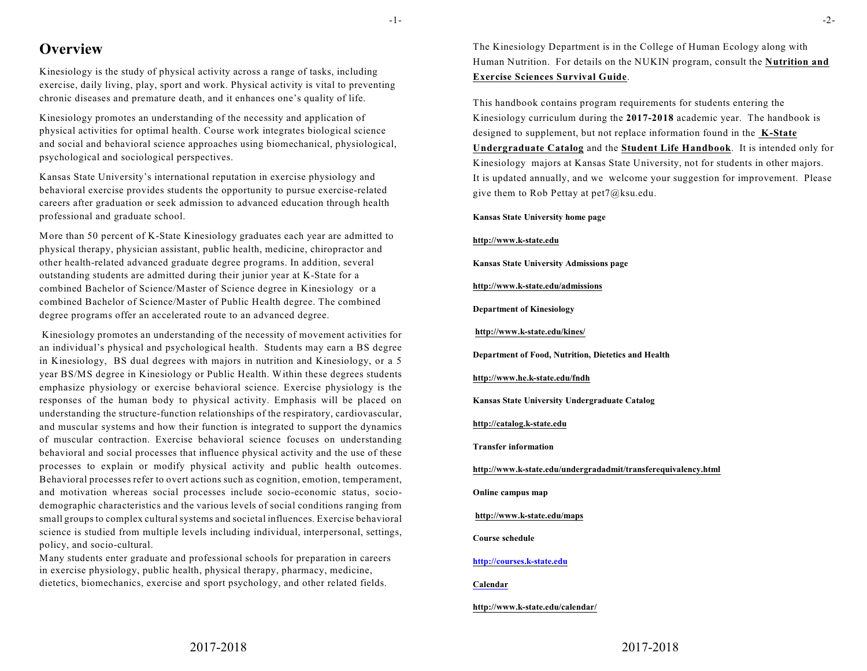# **Overview**

Kinesiology is the study of physical activity across a range of tasks, including exercise, daily living, play, sport and work. Physical activity is vital to preventing chronic diseases and premature death, and it enhances one's quality of life.

Kinesiology promotes an understanding of the necessity and application of physical activities for optimal health. Course work integrates biological science and social and behavioral science approaches using biomechanical, physiological, psychological and sociological perspectives.

Kansas State University's international reputation in exercise physiology and behavioral exercise provides students the opportunity to pursue exercise-related careers after graduation or seek admission to advanced education through health professional and graduate school.

More than 50 percent of K-State Kinesiology graduates each year are admitted to physical therapy, physician assistant, public health, medicine, chiropractor and other health-related advanced graduate degree programs. In addition, several outstanding students are admitted during their junior year at K-State for a combined Bachelor of Science/Master of Science degree in Kinesiology or a combined Bachelor of Science/Master of Public Health degree. The combined degree programs offer an accelerated route to an advanced degree.

 Kinesiology promotes an understanding of the necessity of movement activities for an individual's physical and psychological health. Students may earn a BS degree in Kinesiology, BS dual degrees with majors in nutrition and Kinesiology, or a 5 year BS/MS degree in Kinesiology or Public Health. Within these degrees students emphasize physiology or exercise behavioral science. Exercise physiology is the responses of the human body to physical activity. Emphasis will be placed on understanding the structure-function relationships of the respiratory, cardiovascular, and muscular systems and how their function is integrated to support the dynamics of muscular contraction. Exercise behavioral science focuses on understanding behavioral and social processes that influence physical activity and the use of these processes to explain or modify physical activity and public health outcomes. Behavioral processes refer to overt actions such as cognition, emotion, temperament, and motivation whereas social processes include socio-economic status, sociodemographic characteristics and the various levels of social conditions ranging from small groups to complex cultural systems and societal influences. Exercise behavioral science is studied from multiple levels including individual, interpersonal, settings, policy, and socio-cultural.

Many students enter graduate and professional schools for preparation in careers in exercise physiology, public health, physical therapy, pharmacy, medicine, dietetics, biomechanics, exercise and sport psychology, and other related fields.

The Kinesiology Department is in the College of Human Ecology along with Human Nutrition. For details on the NUKIN program, consult the **Nutrition and Exercise Sciences Survival Guide**.

This handbook contains program requirements for students entering the Kinesiology curriculum during the **2017-2018** academic year. The handbook is designed to supplement, but not replace information found in the **K-State Undergraduate Catalog** and the **Student Life Handbook**. It is intended only for Kinesiology majors at Kansas State University, not for students in other majors. It is updated annually, and we welcome your suggestion for improvement. Please give them to Rob Pettay at pet7@ksu.edu.

**Kansas State University home page**

#### **http://www.k-state.edu**

**Kansas State University Admissions page**

**http://www.k-state.edu/admissions**

**Department of Kinesiology**

**http://www.k-state.edu/kines/**

**Department of Food, Nutrition, Dietetics and Health**

**http://www.he.k-state.edu/fndh**

**Kansas State University Undergraduate Catalog**

**http://catalog.k-state.edu**

**Transfer information**

**http://www.k-state.edu/undergradadmit/transferequivalency.html**

**Online campus map**

**http://www.k-state.edu/maps**

**Course schedule**

#### **http://courses.k-state.edu**

**Calendar**

**http://www.k-state.edu/calendar/**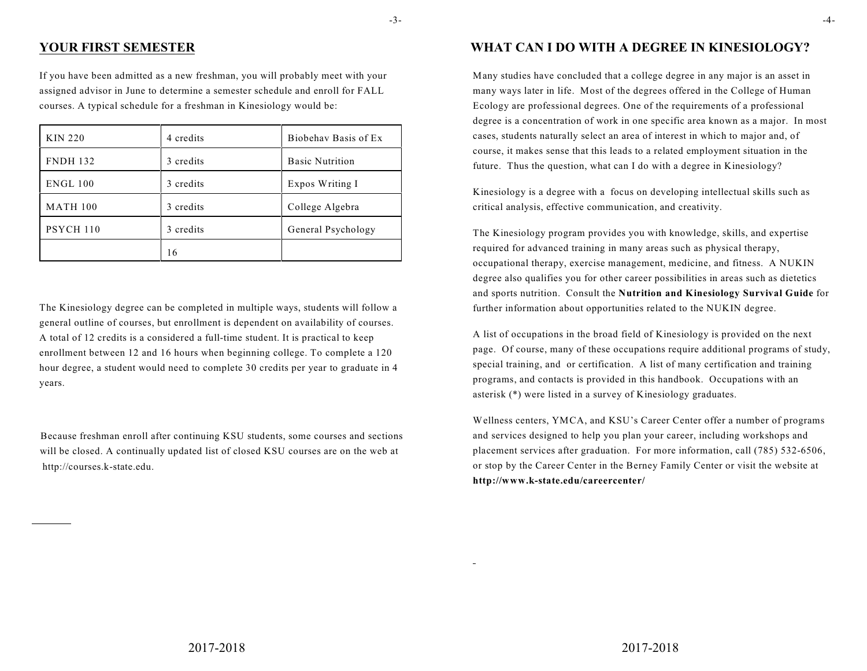# **YOUR FIRST SEMESTER**

If you have been admitted as a new freshman, you will probably meet with your assigned advisor in June to determine a semester schedule and enroll for FALL courses. A typical schedule for a freshman in Kinesiology would be:

| <b>KIN 220</b>  | 4 credits | Biobehav Basis of Ex   |
|-----------------|-----------|------------------------|
| <b>FNDH 132</b> | 3 credits | <b>Basic Nutrition</b> |
| <b>ENGL 100</b> | 3 credits | Expos Writing I        |
| <b>MATH 100</b> | 3 credits | College Algebra        |
| PSYCH 110       | 3 credits | General Psychology     |
|                 | 16        |                        |

The Kinesiology degree can be completed in multiple ways, students will follow a general outline of courses, but enrollment is dependent on availability of courses. A total of 12 credits is a considered a full-time student. It is practical to keep enrollment between 12 and 16 hours when beginning college. To complete a 120 hour degree, a student would need to complete 30 credits per year to graduate in 4 years.

Because freshman enroll after continuing KSU students, some courses and sections will be closed. A continually updated list of closed KSU courses are on the web at http://courses.k-state.edu.

# **WHAT CAN I DO WITH A DEGREE IN KINESIOLOGY?**

Many studies have concluded that a college degree in any major is an asset in many ways later in life. Most of the degrees offered in the College of Human Ecology are professional degrees. One of the requirements of a professional degree is a concentration of work in one specific area known as a major. In most cases, students naturally select an area of interest in which to major and, of course, it makes sense that this leads to a related employment situation in the future. Thus the question, what can I do with a degree in Kinesiology?

Kinesiology is a degree with a focus on developing intellectual skills such as critical analysis, effective communication, and creativity.

The Kinesiology program provides you with knowledge, skills, and expertise required for advanced training in many areas such as physical therapy, occupational therapy, exercise management, medicine, and fitness. A NUKIN degree also qualifies you for other career possibilities in areas such as dietetics and sports nutrition. Consult the **Nutrition and Kinesiology Survival Guide** for further information about opportunities related to the NUKIN degree.

A list of occupations in the broad field of Kinesiology is provided on the next page. Of course, many of these occupations require additional programs of study, special training, and or certification. A list of many certification and training programs, and contacts is provided in this handbook. Occupations with an asterisk (\*) were listed in a survey of Kinesiology graduates.

Wellness centers, YMCA, and KSU's Career Center offer a number of programs and services designed to help you plan your career, including workshops and placement services after graduation. For more information, call (785) 532-6506, or stop by the Career Center in the Berney Family Center or visit the website at **http://www.k-state.edu/careercenter/**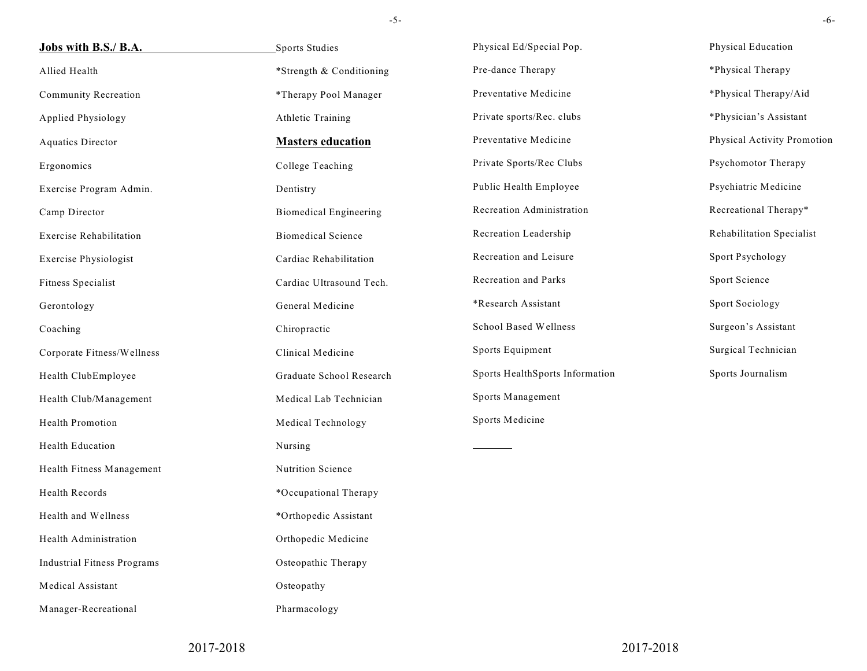| Jobs with B.S./ B.A.               | Sports Studies                | Physical Ed/Special Pop.        | Physical Education          |
|------------------------------------|-------------------------------|---------------------------------|-----------------------------|
| Allied Health                      | *Strength & Conditioning      | Pre-dance Therapy               | *Physical Therapy           |
| Community Recreation               | *Therapy Pool Manager         | Preventative Medicine           | *Physical Therapy/Aid       |
| Applied Physiology                 | Athletic Training             | Private sports/Rec. clubs       | *Physician's Assistant      |
| <b>Aquatics Director</b>           | <b>Masters education</b>      | Preventative Medicine           | Physical Activity Promotion |
| Ergonomics                         | College Teaching              | Private Sports/Rec Clubs        | Psychomotor Therapy         |
| Exercise Program Admin.            | Dentistry                     | Public Health Employee          | Psychiatric Medicine        |
| Camp Director                      | <b>Biomedical Engineering</b> | Recreation Administration       | Recreational Therapy*       |
| <b>Exercise Rehabilitation</b>     | <b>Biomedical Science</b>     | Recreation Leadership           | Rehabilitation Specialist   |
| Exercise Physiologist              | Cardiac Rehabilitation        | Recreation and Leisure          | Sport Psychology            |
| Fitness Specialist                 | Cardiac Ultrasound Tech.      | Recreation and Parks            | Sport Science               |
| Gerontology                        | General Medicine              | *Research Assistant             | Sport Sociology             |
| Coaching                           | Chiropractic                  | School Based Wellness           | Surgeon's Assistant         |
| Corporate Fitness/Wellness         | Clinical Medicine             | Sports Equipment                | Surgical Technician         |
| Health ClubEmployee                | Graduate School Research      | Sports HealthSports Information | Sports Journalism           |
| Health Club/Management             | Medical Lab Technician        | Sports Management               |                             |
| Health Promotion                   | Medical Technology            | Sports Medicine                 |                             |
| Health Education                   | Nursing                       |                                 |                             |
| Health Fitness Management          | Nutrition Science             |                                 |                             |
| Health Records                     | *Occupational Therapy         |                                 |                             |
| Health and Wellness                | *Orthopedic Assistant         |                                 |                             |
| Health Administration              | Orthopedic Medicine           |                                 |                             |
| <b>Industrial Fitness Programs</b> | Osteopathic Therapy           |                                 |                             |
| Medical Assistant                  | Osteopathy                    |                                 |                             |
| Manager-Recreational               | Pharmacology                  |                                 |                             |

2017-2018

2017-2018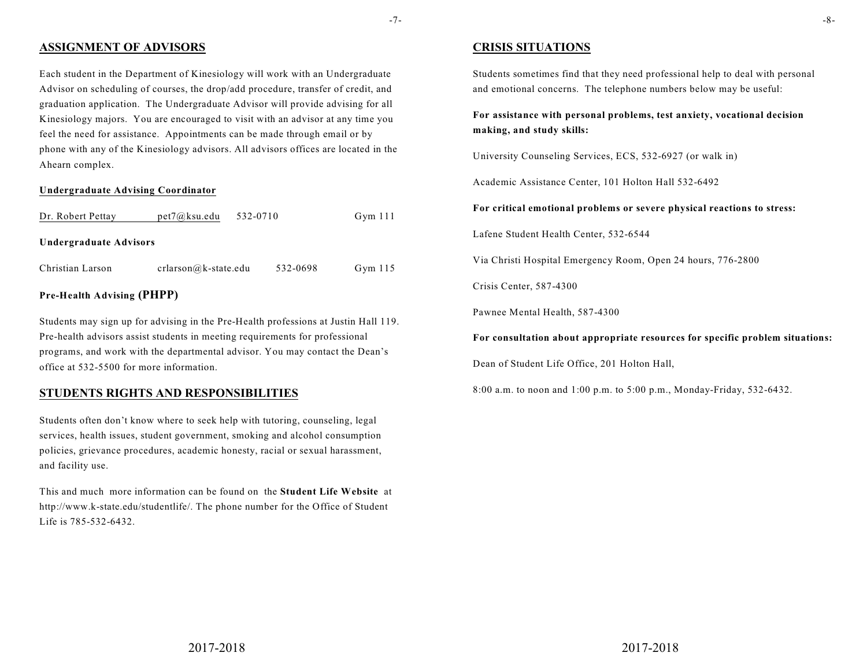# **ASSIGNMENT OF ADVISORS**

Each student in the Department of Kinesiology will work with an Undergraduate Advisor on scheduling of courses, the drop/add procedure, transfer of credit, and graduation application. The Undergraduate Advisor will provide advising for all Kinesiology majors. You are encouraged to visit with an advisor at any time you feel the need for assistance. Appointments can be made through email or by phone with any of the Kinesiology advisors. All advisors offices are located in the Ahearn complex.

#### **Undergraduate Advising Coordinator**

| Dr. Robert Pettay                 | $pet7@$ ksu.edu        | 532-0710 |          | Gym $111$ |
|-----------------------------------|------------------------|----------|----------|-----------|
| Undergraduate Advisors            |                        |          |          |           |
| Christian Larson                  | $crlarson@k-state.edu$ |          | 532-0698 | Gym $115$ |
| <b>Pre-Health Advising (PHPP)</b> |                        |          |          |           |

Students may sign up for advising in the Pre-Health professions at Justin Hall 119. Pre-health advisors assist students in meeting requirements for professional programs, and work with the departmental advisor. You may contact the Dean's office at 532-5500 for more information.

### **STUDENTS RIGHTS AND RESPONSIBILITIES**

Students often don't know where to seek help with tutoring, counseling, legal services, health issues, student government, smoking and alcohol consumption policies, grievance procedures, academic honesty, racial or sexual harassment, and facility use.

This and much more information can be found on the **Student Life Website** at http://www.k-state.edu/studentlife/. The phone number for the Office of Student Life is 785-532-6432.

### **CRISIS SITUATIONS**

Students sometimes find that they need professional help to deal with personal and emotional concerns. The telephone numbers below may be useful:

**For assistance with personal problems, test anxiety, vocational decision making, and study skills:**

University Counseling Services, ECS, 532-6927 (or walk in)

Academic Assistance Center, 101 Holton Hall 532-6492

**For critical emotional problems or severe physical reactions to stress:**

Lafene Student Health Center, 532-6544

Via Christi Hospital Emergency Room, Open 24 hours, 776-2800

Crisis Center, 587-4300

Pawnee Mental Health, 587-4300

**For consultation about appropriate resources for specific problem situations:**

Dean of Student Life Office, 201 Holton Hall,

8:00 a.m. to noon and 1:00 p.m. to 5:00 p.m., Monday-Friday, 532-6432.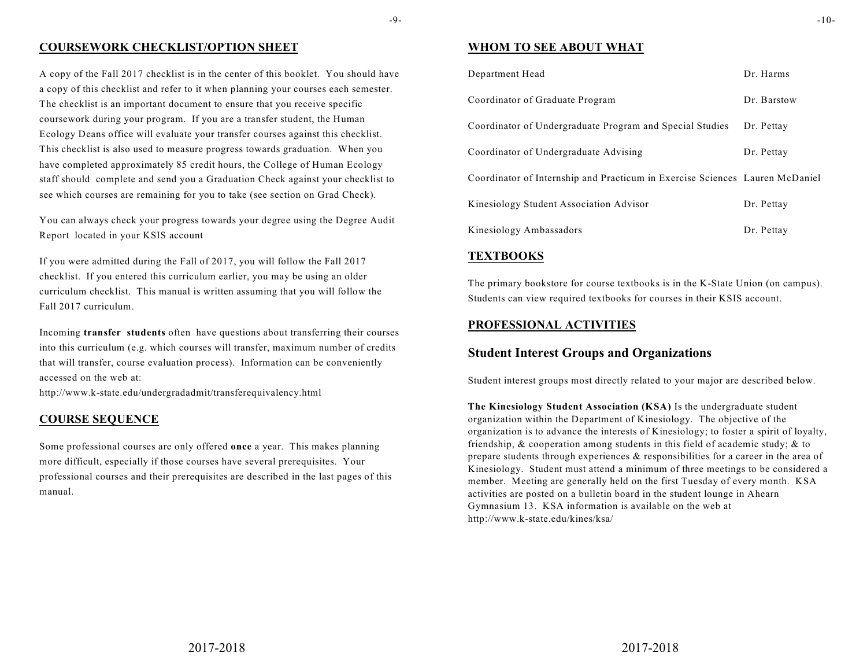#### -9-

## **COURSEWORK CHECKLIST/OPTION SHEET**

A copy of the Fall 2017 checklist is in the center of this booklet. You should have a copy of this checklist and refer to it when planning your courses each semester. The checklist is an important document to ensure that you receive specific coursework during your program. If you are a transfer student, the Human Ecology Deans office will evaluate your transfer courses against this checklist. This checklist is also used to measure progress towards graduation. When you have completed approximately 85 credit hours, the College of Human Ecology staff should complete and send you a Graduation Check against your checklist to see which courses are remaining for you to take (see section on Grad Check).

You can always check your progress towards your degree using the Degree Audit Report located in your KSIS account

If you were admitted during the Fall of 2017, you will follow the Fall 2017 checklist. If you entered this curriculum earlier, you may be using an older curriculum checklist. This manual is written assuming that you will follow the Fall 2017 curriculum.

Incoming **transfer students** often have questions about transferring their courses into this curriculum (e.g. which courses will transfer, maximum number of credits that will transfer, course evaluation process). Information can be conveniently accessed on the web at:

http://www.k-state.edu/undergradadmit/transferequivalency.html

### **COURSE SEQUENCE**

Some professional courses are only offered **once** a year. This makes planning more difficult, especially if those courses have several prerequisites. Your professional courses and their prerequisites are described in the last pages of this manual.

### **WHOM TO SEE ABOUT WHAT**

| Department Head                                                              | Dr. Harms   |
|------------------------------------------------------------------------------|-------------|
| Coordinator of Graduate Program                                              | Dr. Barstow |
| Coordinator of Undergraduate Program and Special Studies                     | Dr. Pettay  |
| Coordinator of Undergraduate Advising                                        | Dr. Pettay  |
| Coordinator of Internship and Practicum in Exercise Sciences Lauren McDaniel |             |
| Kinesiology Student Association Advisor                                      | Dr. Pettay  |
| Kinesiology Ambassadors                                                      | Dr. Pettay  |

### **TEXTBOOKS**

The primary bookstore for course textbooks is in the K-State Union (on campus). Students can view required textbooks for courses in their KSIS account.

### **PROFESSIONAL ACTIVITIES**

# **Student Interest Groups and Organizations**

Student interest groups most directly related to your major are described below.

**The Kinesiology Student Association (KSA)** Is the undergraduate student organization within the Department of Kinesiology. The objective of the organization is to advance the interests of Kinesiology; to foster a spirit of loyalty, friendship, & cooperation among students in this field of academic study; & to prepare students through experiences & responsibilities for a career in the area of Kinesiology. Student must attend a minimum of three meetings to be considered a member. Meeting are generally held on the first Tuesday of every month. KSA activities are posted on a bulletin board in the student lounge in Ahearn Gymnasium 13. KSA information is available on the web at http://www.k-state.edu/kines/ksa/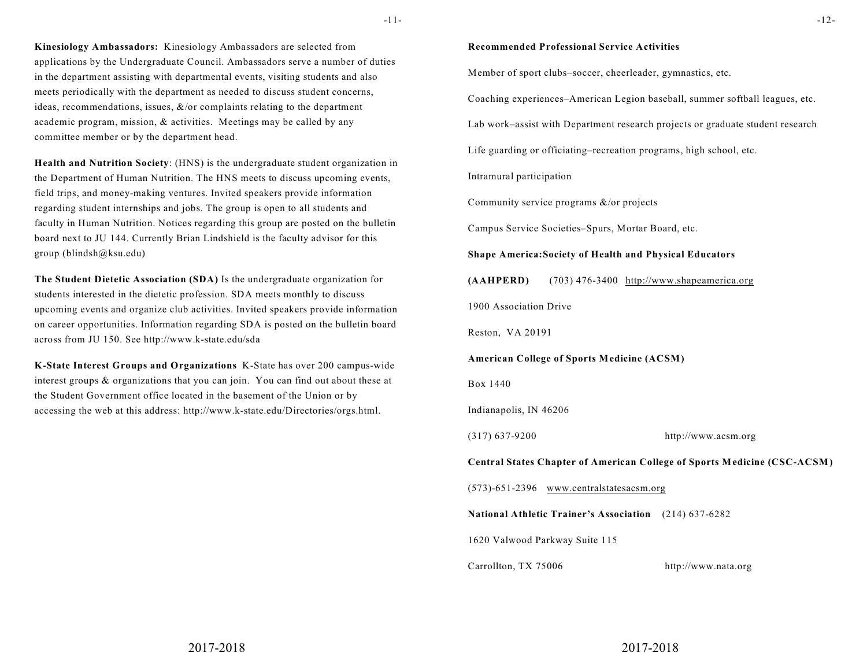-11-

**Kinesiology Ambassadors:** Kinesiology Ambassadors are selected from applications by the Undergraduate Council. Ambassadors serve a number of duties in the department assisting with departmental events, visiting students and also meets periodically with the department as needed to discuss student concerns, ideas, recommendations, issues,  $\&$ /or complaints relating to the department academic program, mission, & activities. Meetings may be called by any committee member or by the department head.

**Health and Nutrition Society**: (HNS) is the undergraduate student organization in the Department of Human Nutrition. The HNS meets to discuss upcoming events, field trips, and money-making ventures. Invited speakers provide information regarding student internships and jobs. The group is open to all students and faculty in Human Nutrition. Notices regarding this group are posted on the bulletin board next to JU 144. Currently Brian Lindshield is the faculty advisor for this group (blindsh@ksu.edu)

**The Student Dietetic Association (SDA)** Is the undergraduate organization for students interested in the dietetic profession. SDA meets monthly to discuss upcoming events and organize club activities. Invited speakers provide information on career opportunities. Information regarding SDA is posted on the bulletin board across from JU 150. See http://www.k-state.edu/sda

**K-State Interest Groups and Organizations** K-State has over 200 campus-wide interest groups & organizations that you can join. You can find out about these at the Student Government office located in the basement of the Union or by accessing the web at this address: http://www.k-state.edu/Directories/orgs.html.

#### **Recommended Professional Service Activities**

Member of sport clubs–soccer, cheerleader, gymnastics, etc.

Coaching experiences–American Legion baseball, summer softball leagues, etc.

Lab work–assist with Department research projects or graduate student research

Life guarding or officiating–recreation programs, high school, etc.

Intramural participation

Community service programs &/or projects

Campus Service Societies–Spurs, Mortar Board, etc.

#### **Shape America:Society of Health and Physical Educators**

**(AAHPERD)** (703) 476-3400 http://www.shapeamerica.org

1900 Association Drive

Reston, VA 20191

**American College of Sports Medicine (ACSM)**

Box 1440

Indianapolis, IN 46206

(317) 637-9200 http://www.acsm.org

**Central States Chapter of American College of Sports Medicine (CSC-ACSM)**

(573)-651-2396 www.centralstatesacsm.org

**National Athletic Trainer's Association** (214) 637-6282

1620 Valwood Parkway Suite 115

Carrollton, TX 75006 http://www.nata.org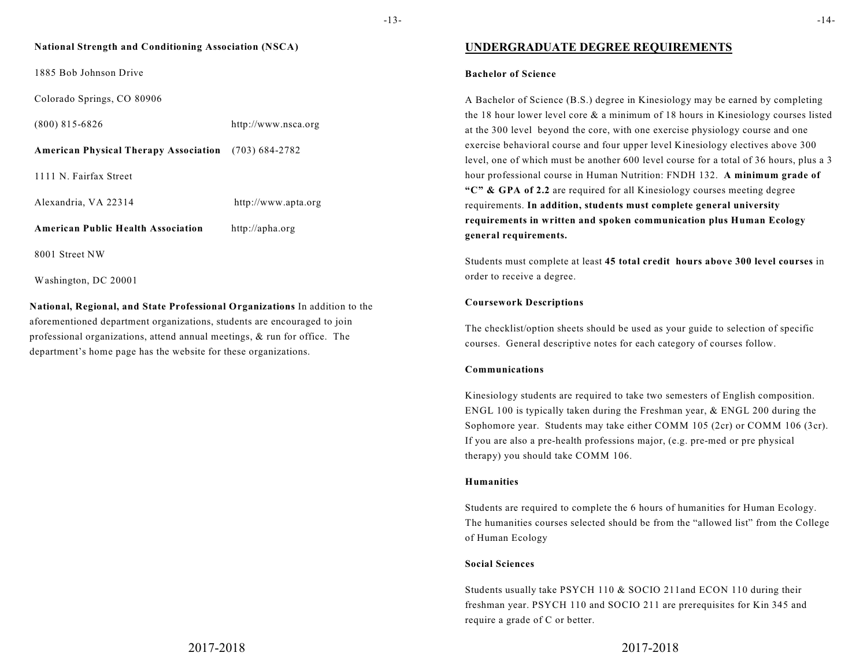### **National Strength and Conditioning Association (NSCA)**

1885 Bob Johnson Drive

Colorado Springs, CO 80906

(800) 815-6826 http://www.nsca.org

**American Physical Therapy Association** (703) 684-2782

1111 N. Fairfax Street

Alexandria, VA 22314 http://www.apta.org

**American Public Health Association** http://apha.org

8001 Street NW

Washington, DC 20001

**National, Regional, and State Professional Organizations** In addition to the aforementioned department organizations, students are encouraged to join professional organizations, attend annual meetings, & run for office. The department's home page has the website for these organizations.

### -14-

### **UNDERGRADUATE DEGREE REQUIREMENTS**

#### **Bachelor of Science**

A Bachelor of Science (B.S.) degree in Kinesiology may be earned by completing the 18 hour lower level core & a minimum of 18 hours in Kinesiology courses listed at the 300 level beyond the core, with one exercise physiology course and one exercise behavioral course and four upper level Kinesiology electives above 300 level, one of which must be another 600 level course for a total of 36 hours, plus a 3 hour professional course in Human Nutrition: FNDH 132. **A minimum grade of "C" & GPA of 2.2** are required for all Kinesiology courses meeting degree requirements. **In addition, students must complete general university requirements in written and spoken communication plus Human Ecology general requirements.**

Students must complete at least **45 total credit hours above 300 level courses** in order to receive a degree.

#### **Coursework Descriptions**

The checklist/option sheets should be used as your guide to selection of specific courses. General descriptive notes for each category of courses follow.

### **Communications**

Kinesiology students are required to take two semesters of English composition. ENGL 100 is typically taken during the Freshman year, & ENGL 200 during the Sophomore year. Students may take either COMM 105 (2cr) or COMM 106 (3cr). If you are also a pre-health professions major, (e.g. pre-med or pre physical therapy) you should take COMM 106.

### **Humanities**

Students are required to complete the 6 hours of humanities for Human Ecology. The humanities courses selected should be from the "allowed list" from the College of Human Ecology

#### **Social Sciences**

Students usually take PSYCH 110 & SOCIO 211and ECON 110 during their freshman year. PSYCH 110 and SOCIO 211 are prerequisites for Kin 345 and require a grade of C or better.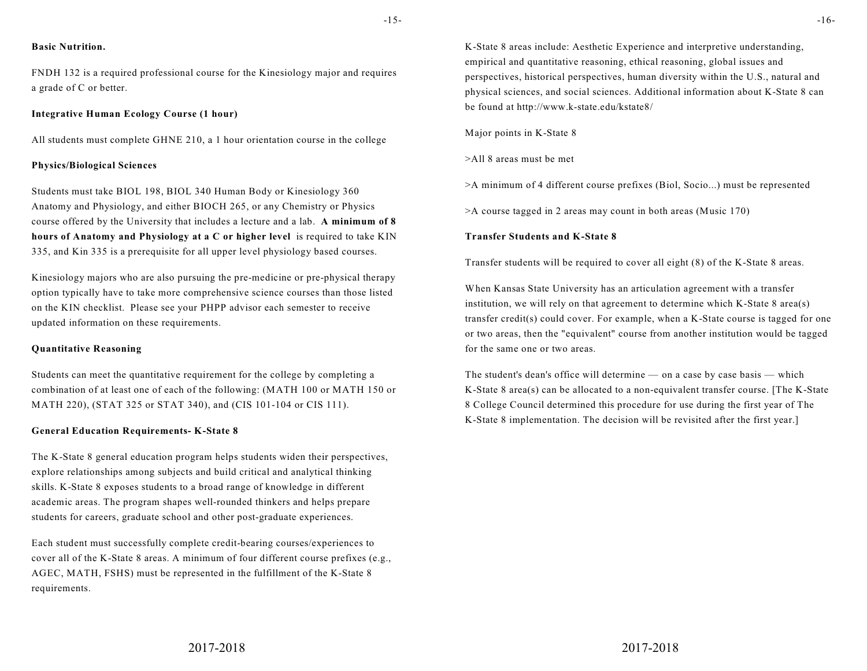#### **Basic Nutrition.**

FNDH 132 is a required professional course for the Kinesiology major and requires a grade of C or better.

#### **Integrative Human Ecology Course (1 hour)**

All students must complete GHNE 210, a 1 hour orientation course in the college

#### **Physics/Biological Sciences**

Students must take BIOL 198, BIOL 340 Human Body or Kinesiology 360 Anatomy and Physiology, and either BIOCH 265, or any Chemistry or Physics course offered by the University that includes a lecture and a lab. **A minimum of 8 hours of Anatomy and Physiology at a C or higher level** is required to take KIN 335, and Kin 335 is a prerequisite for all upper level physiology based courses.

Kinesiology majors who are also pursuing the pre-medicine or pre-physical therapy option typically have to take more comprehensive science courses than those listed on the KIN checklist. Please see your PHPP advisor each semester to receive updated information on these requirements.

#### **Quantitative Reasoning**

Students can meet the quantitative requirement for the college by completing a combination of at least one of each of the following: (MATH 100 or MATH 150 or MATH 220), (STAT 325 or STAT 340), and (CIS 101-104 or CIS 111).

#### **General Education Requirements- K-State 8**

The K-State 8 general education program helps students widen their perspectives, explore relationships among subjects and build critical and analytical thinking skills. K-State 8 exposes students to a broad range of knowledge in different academic areas. The program shapes well-rounded thinkers and helps prepare students for careers, graduate school and other post-graduate experiences.

Each student must successfully complete credit-bearing courses/experiences to cover all of the K-State 8 areas. A minimum of four different course prefixes (e.g., AGEC, MATH, FSHS) must be represented in the fulfillment of the K-State 8 requirements.

K-State 8 areas include: Aesthetic Experience and interpretive understanding, empirical and quantitative reasoning, ethical reasoning, global issues and perspectives, historical perspectives, human diversity within the U.S., natural and physical sciences, and social sciences. Additional information about K-State 8 can be found at http://www.k-state.edu/kstate8/

Major points in K-State 8

>All 8 areas must be met

>A minimum of 4 different course prefixes (Biol, Socio...) must be represented

>A course tagged in 2 areas may count in both areas (Music 170)

#### **Transfer Students and K-State 8**

Transfer students will be required to cover all eight (8) of the K-State 8 areas.

When Kansas State University has an articulation agreement with a transfer institution, we will rely on that agreement to determine which K-State 8 area(s) transfer credit(s) could cover. For example, when a K-State course is tagged for one or two areas, then the "equivalent" course from another institution would be tagged for the same one or two areas.

The student's dean's office will determine — on a case by case basis — which K-State 8 area(s) can be allocated to a non-equivalent transfer course. [The K-State 8 College Council determined this procedure for use during the first year of The K-State 8 implementation. The decision will be revisited after the first year.]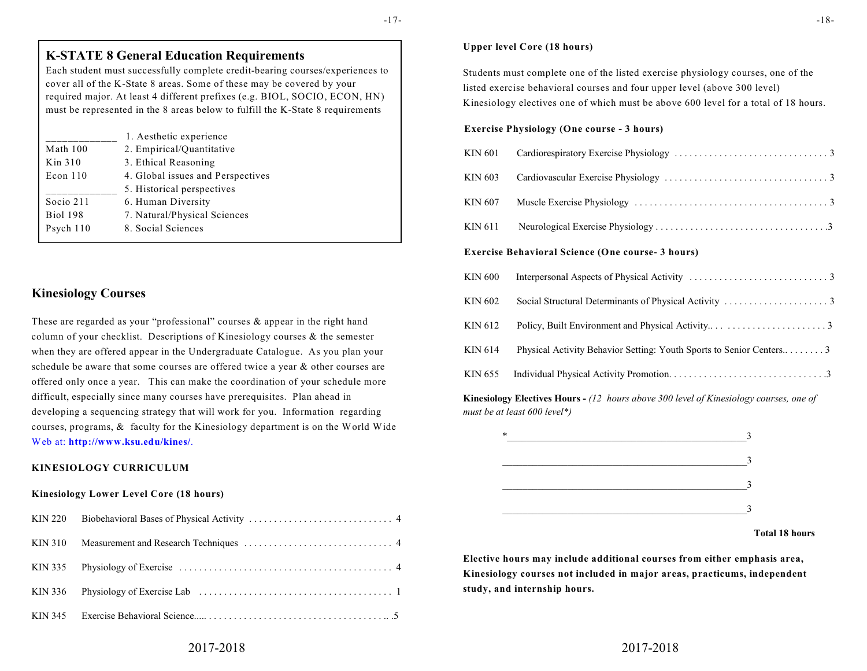-17-

#### **Upper level Core (18 hours)**

Students must complete one of the listed exercise physiology courses, one of the listed exercise behavioral courses and four upper level (above 300 level) Kinesiology electives one of which must be above 600 level for a total of 18 hours.

#### **Exercise Physiology (One course - 3 hours)**

#### **Exercise Behavioral Science (One course- 3 hours)**

| KIN 600 |  |
|---------|--|
| KIN 602 |  |
| KIN 612 |  |
| KIN 614 |  |
|         |  |

**Kinesiology Electives Hours -** *(12 hours above 300 level of Kinesiology courses, one of must be at least 600 level\*)*



 **Total 18 hours**

**Elective hours may include additional courses from either emphasis area, Kinesiology courses not included in major areas, practicums, independent study, and internship hours.** 

# **Kinesiology Courses** These are regarded as your "professional" courses & appear in the right hand column of your checklist. Descriptions of Kinesiology courses & the semester when they are offered appear in the Undergraduate Catalogue. As you plan your schedule be aware that some courses are offered twice a year & other courses are offered only once a year. This can make the coordination of your schedule more difficult, especially since many courses have prerequisites. Plan ahead in developing a sequencing strategy that will work for you. Information regarding courses, programs, & faculty for the Kinesiology department is on the World Wide

**K-STATE 8 General Education Requirements**

\_\_\_\_\_\_\_\_\_\_\_\_\_ 1. Aesthetic experience

\_\_\_\_\_\_\_\_\_\_\_\_\_ 5. Historical perspectives

Math 100 2. Empirical/Quantitative Kin 310 3. Ethical Reasoning

Socio 211 6. Human Diversity

Psych 110 8. Social Sciences

Econ 110 4. Global issues and Perspectives

Biol 198 7. Natural/Physical Sciences

Each student must successfully complete credit-bearing courses/experiences to cover all of the K-State 8 areas. Some of these may be covered by your required major. At least 4 different prefixes (e.g. BIOL, SOCIO, ECON, HN) must be represented in the 8 areas below to fulfill the K-State 8 requirements

# Web at: **http://www.ksu.edu/kines/**. **KINESIOLOGY CURRICULUM**

#### **Kinesiology Lower Level Core (18 hours)**

| KIN 220 |  |
|---------|--|
| KIN 310 |  |
|         |  |
|         |  |
|         |  |

### 2017-2018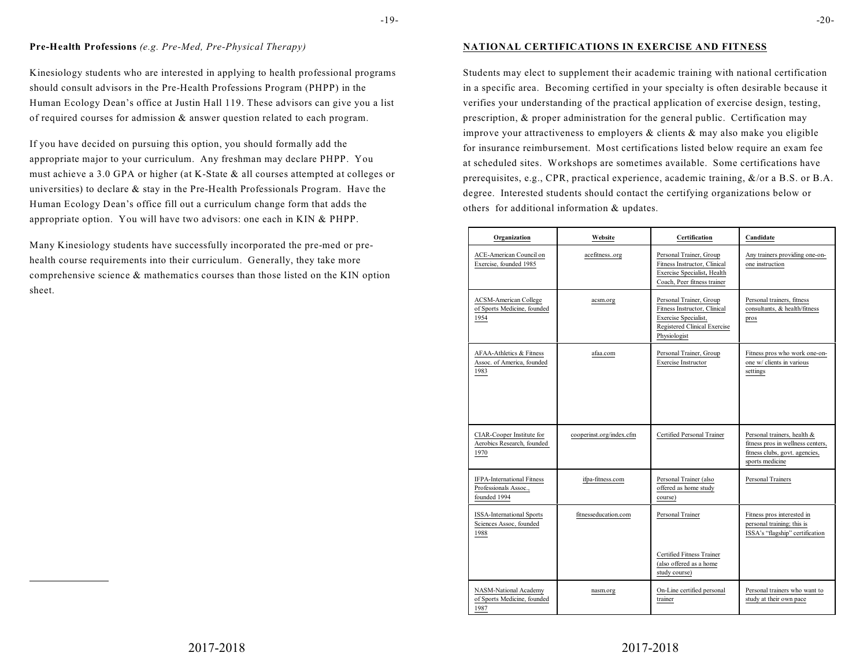#### **Pre-Health Professions** *(e.g. Pre-Med, Pre-Physical Therapy)*

Kinesiology students who are interested in applying to health professional programs should consult advisors in the Pre-Health Professions Program (PHPP) in the Human Ecology Dean's office at Justin Hall 119. These advisors can give you a list of required courses for admission & answer question related to each program.

If you have decided on pursuing this option, you should formally add the appropriate major to your curriculum. Any freshman may declare PHPP. You must achieve a 3.0 GPA or higher (at K-State & all courses attempted at colleges or universities) to declare  $\&$  stay in the Pre-Health Professionals Program. Have the Human Ecology Dean's office fill out a curriculum change form that adds the appropriate option. You will have two advisors: one each in KIN & PHPP.

Many Kinesiology students have successfully incorporated the pre-med or prehealth course requirements into their curriculum. Generally, they take more comprehensive science & mathematics courses than those listed on the KIN option sheet.

#### **NATIONAL CERTIFICATIONS IN EXERCISE AND FITNESS**

Students may elect to supplement their academic training with national certification in a specific area. Becoming certified in your specialty is often desirable because it verifies your understanding of the practical application of exercise design, testing, prescription, & proper administration for the general public. Certification may improve your attractiveness to employers & clients & may also make you eligible for insurance reimbursement. Most certifications listed below require an exam fee at scheduled sites. Workshops are sometimes available. Some certifications have prerequisites, e.g., CPR, practical experience, academic training, &/or a B.S. or B.A. degree. Interested students should contact the certifying organizations below or others for additional information & updates.

| Organization                                                               | Website                  | Certification                                                                                                                   | Candidate                                                                                                             |
|----------------------------------------------------------------------------|--------------------------|---------------------------------------------------------------------------------------------------------------------------------|-----------------------------------------------------------------------------------------------------------------------|
| ACE-American Council on<br>Exercise, founded 1985                          | acefitnessorg            | Personal Trainer, Group<br>Fitness Instructor, Clinical<br>Exercise Specialist, Health<br>Coach. Peer fitness trainer           | Any trainers providing one-on-<br>one instruction                                                                     |
| <b>ACSM-American College</b><br>of Sports Medicine, founded<br>1954        | acsm.org                 | Personal Trainer, Group<br>Fitness Instructor, Clinical<br>Exercise Specialist,<br>Registered Clinical Exercise<br>Physiologist | Personal trainers, fitness<br>consultants, & health/fitness<br>pros                                                   |
| AFAA-Athletics & Fitness<br>Assoc. of America, founded<br>1983             | afaa.com                 | Personal Trainer, Group<br><b>Exercise Instructor</b>                                                                           | Fitness pros who work one-on-<br>one w/ clients in various<br>settings                                                |
| CIAR-Cooper Institute for<br>Aerobics Research, founded<br>1970            | cooperinst.org/index.cfm | Certified Personal Trainer                                                                                                      | Personal trainers, health &<br>fitness pros in wellness centers,<br>fitness clubs, govt. agencies,<br>sports medicine |
| <b>IFPA-International Fitness</b><br>Professionals Assoc.,<br>founded 1994 | ifpa-fitness.com         | Personal Trainer (also<br>offered as home study<br>course)                                                                      | Personal Trainers                                                                                                     |
| <b>ISSA-International Sports</b><br>Sciences Assoc, founded<br>1988        | fitnesseducation.com     | Personal Trainer<br>Certified Fitness Trainer                                                                                   | Fitness pros interested in<br>personal training; this is<br>ISSA's "flagship" certification                           |
|                                                                            |                          | (also offered as a home<br>study course)                                                                                        |                                                                                                                       |
| NASM-National Academy<br>of Sports Medicine, founded<br>1987               | nasm.org                 | On-Line certified personal<br>trainer                                                                                           | Personal trainers who want to<br>study at their own pace                                                              |

2017-2018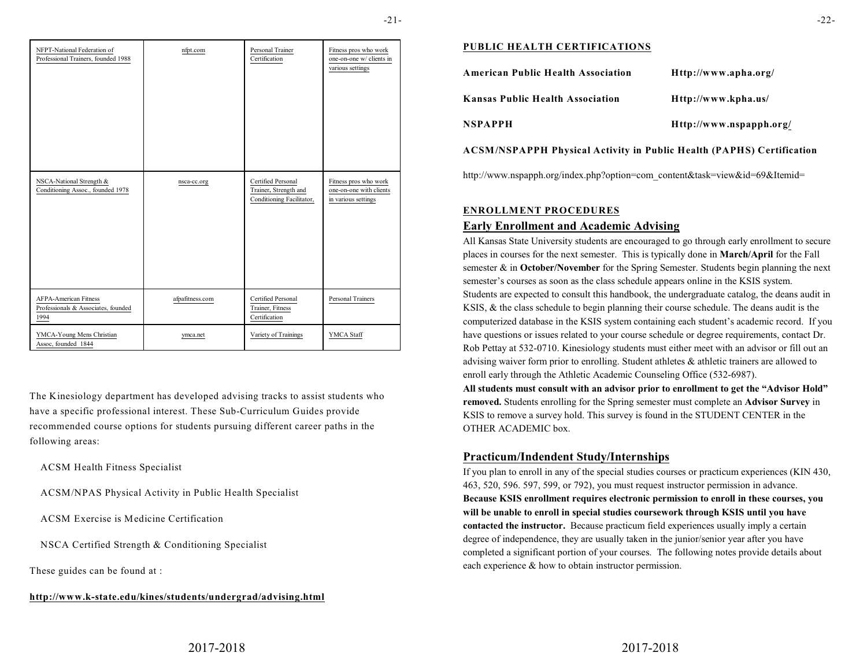| NFPT-National Federation of<br>Professional Trainers, founded 1988          | nfpt.com        | Personal Trainer<br>Certification                                        | Fitness pros who work<br>one-on-one w/ clients in<br>various settings   |
|-----------------------------------------------------------------------------|-----------------|--------------------------------------------------------------------------|-------------------------------------------------------------------------|
| NSCA-National Strength &<br>Conditioning Assoc., founded 1978               | nsca-cc.org     | Certified Personal<br>Trainer, Strength and<br>Conditioning Facilitator, | Fitness pros who work<br>one-on-one with clients<br>in various settings |
| <b>AFPA-American Fitness</b><br>Professionals & Associates, founded<br>1994 | afpafitness.com | Certified Personal<br>Trainer, Fitness<br>Certification                  | Personal Trainers                                                       |
| YMCA-Young Mens Christian<br>Assoc, founded 1844                            | ymca.net        | Variety of Trainings                                                     | YMCA Staff                                                              |

The Kinesiology department has developed advising tracks to assist students who have a specific professional interest. These Sub-Curriculum Guides provide recommended course options for students pursuing different career paths in the following areas:

ACSM Health Fitness Specialist

ACSM/NPAS Physical Activity in Public Health Specialist

ACSM Exercise is Medicine Certification

NSCA Certified Strength & Conditioning Specialist

These guides can be found at :

#### **http://www.k-state.edu/kines/students/undergrad/advising.html**

#### **PUBLIC HEALTH CERTIFICATIONS**

| <b>American Public Health Association</b> | Http://www.apha.org/    |
|-------------------------------------------|-------------------------|
| <b>Kansas Public Health Association</b>   | Http://www.kpha.us/     |
| <b>NSPAPPH</b>                            | Http://www.nspapph.org/ |

### **ACSM/NSPAPPH Physical Activity in Public Health (PAPHS) Certification**

http://www.nspapph.org/index.php?option=com\_content&task=view&id=69&Itemid=

#### **ENROLLMENT PROCEDURES**

### **Early Enrollment and Academic Advising**

All Kansas State University students are encouraged to go through early enrollment to secure places in courses for the next semester. This is typically done in **March/April** for the Fall semester & in **October/November** for the Spring Semester. Students begin planning the next semester's courses as soon as the class schedule appears online in the KSIS system. Students are expected to consult this handbook, the undergraduate catalog, the deans audit in KSIS, & the class schedule to begin planning their course schedule. The deans audit is the computerized database in the KSIS system containing each student's academic record. If you have questions or issues related to your course schedule or degree requirements, contact Dr. Rob Pettay at 532-0710. Kinesiology students must either meet with an advisor or fill out an advising waiver form prior to enrolling. Student athletes & athletic trainers are allowed to enroll early through the Athletic Academic Counseling Office (532-6987).

**All students must consult with an advisor prior to enrollment to get the "Advisor Hold" removed.** Students enrolling for the Spring semester must complete an **Advisor Survey** in KSIS to remove a survey hold. This survey is found in the STUDENT CENTER in the OTHER ACADEMIC box.

### **Practicum/Indendent Study/Internships**

If you plan to enroll in any of the special studies courses or practicum experiences (KIN 430, 463, 520, 596. 597, 599, or 792), you must request instructor permission in advance. **Because KSIS enrollment requires electronic permission to enroll in these courses, you will be unable to enroll in special studies coursework through KSIS until you have contacted the instructor.** Because practicum field experiences usually imply a certain degree of independence, they are usually taken in the junior/senior year after you have completed a significant portion of your courses. The following notes provide details about each experience & how to obtain instructor permission.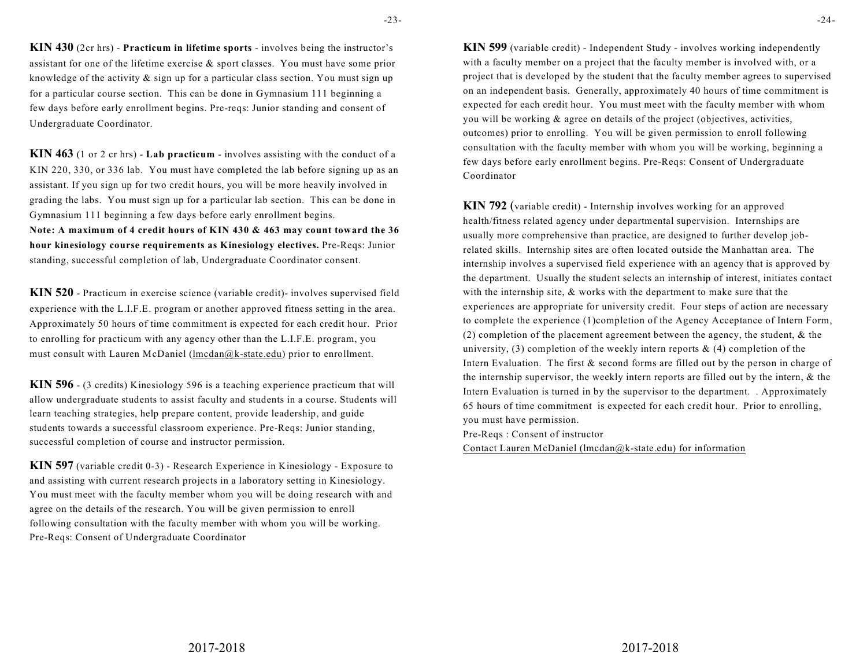**KIN 430** (2cr hrs) - **Practicum in lifetime sports** - involves being the instructor's assistant for one of the lifetime exercise & sport classes. You must have some prior knowledge of the activity  $\&$  sign up for a particular class section. You must sign up for a particular course section. This can be done in Gymnasium 111 beginning a few days before early enrollment begins. Pre-reqs: Junior standing and consent of Undergraduate Coordinator.

**KIN 463** (1 or 2 cr hrs) - **Lab practicum** - involves assisting with the conduct of a KIN 220, 330, or 336 lab. You must have completed the lab before signing up as an assistant. If you sign up for two credit hours, you will be more heavily involved in grading the labs. You must sign up for a particular lab section. This can be done in Gymnasium 111 beginning a few days before early enrollment begins.

**Note: A maximum of 4 credit hours of KIN 430 & 463 may count toward the 36 hour kinesiology course requirements as Kinesiology electives.** Pre-Reqs: Junior standing, successful completion of lab, Undergraduate Coordinator consent.

**KIN 520** - Practicum in exercise science (variable credit)- involves supervised field experience with the L.I.F.E. program or another approved fitness setting in the area. Approximately 50 hours of time commitment is expected for each credit hour. Prior to enrolling for practicum with any agency other than the L.I.F.E. program, you must consult with Lauren McDaniel (lmcdan@k-state.edu) prior to enrollment.

**KIN 596** - (3 credits) Kinesiology 596 is a teaching experience practicum that will allow undergraduate students to assist faculty and students in a course. Students will learn teaching strategies, help prepare content, provide leadership, and guide students towards a successful classroom experience. Pre-Reqs: Junior standing, successful completion of course and instructor permission.

**KIN 597** (variable credit 0-3) - Research Experience in Kinesiology - Exposure to and assisting with current research projects in a laboratory setting in Kinesiology. You must meet with the faculty member whom you will be doing research with and agree on the details of the research. You will be given permission to enroll following consultation with the faculty member with whom you will be working. Pre-Reqs: Consent of Undergraduate Coordinator

**KIN 599** (variable credit) - Independent Study - involves working independently with a faculty member on a project that the faculty member is involved with, or a project that is developed by the student that the faculty member agrees to supervised on an independent basis. Generally, approximately 40 hours of time commitment is expected for each credit hour. You must meet with the faculty member with whom you will be working & agree on details of the project (objectives, activities, outcomes) prior to enrolling. You will be given permission to enroll following consultation with the faculty member with whom you will be working, beginning a few days before early enrollment begins. Pre-Reqs: Consent of Undergraduate Coordinator

**KIN 792** (variable credit) - Internship involves working for an approved health/fitness related agency under departmental supervision. Internships are usually more comprehensive than practice, are designed to further develop jobrelated skills. Internship sites are often located outside the Manhattan area. The internship involves a supervised field experience with an agency that is approved by the department. Usually the student selects an internship of interest, initiates contact with the internship site, & works with the department to make sure that the experiences are appropriate for university credit. Four steps of action are necessary to complete the experience (1)completion of the Agency Acceptance of Intern Form, (2) completion of the placement agreement between the agency, the student, & the university, (3) completion of the weekly intern reports  $\&$  (4) completion of the Intern Evaluation. The first & second forms are filled out by the person in charge of the internship supervisor, the weekly intern reports are filled out by the intern, & the Intern Evaluation is turned in by the supervisor to the department. . Approximately 65 hours of time commitment is expected for each credit hour. Prior to enrolling, you must have permission. Pre-Reqs : Consent of instructor

Contact Lauren McDaniel (lmcdan@k-state.edu) for information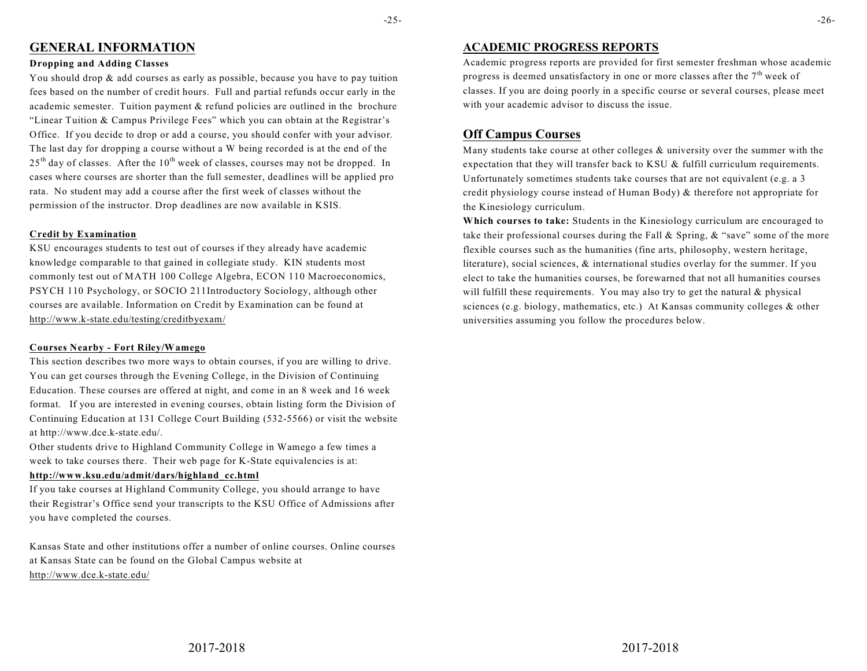## **GENERAL INFORMATION**

#### **Dropping and Adding Classes**

You should drop & add courses as early as possible, because you have to pay tuition fees based on the number of credit hours. Full and partial refunds occur early in the academic semester. Tuition payment & refund policies are outlined in the brochure "Linear Tuition & Campus Privilege Fees" which you can obtain at the Registrar's Office. If you decide to drop or add a course, you should confer with your advisor. The last day for dropping a course without a W being recorded is at the end of the  $25<sup>th</sup>$  day of classes. After the  $10<sup>th</sup>$  week of classes, courses may not be dropped. In cases where courses are shorter than the full semester, deadlines will be applied pro rata. No student may add a course after the first week of classes without the permission of the instructor. Drop deadlines are now available in KSIS.

#### **Credit by Examination**

KSU encourages students to test out of courses if they already have academic knowledge comparable to that gained in collegiate study. KIN students most commonly test out of MATH 100 College Algebra, ECON 110 Macroeconomics, PSYCH 110 Psychology, or SOCIO 211Introductory Sociology, although other courses are available. Information on Credit by Examination can be found at http://www.k-state.edu/testing/creditbyexam/

#### **Courses Nearby - Fort Riley/Wamego**

This section describes two more ways to obtain courses, if you are willing to drive. You can get courses through the Evening College, in the Division of Continuing Education. These courses are offered at night, and come in an 8 week and 16 week format. If you are interested in evening courses, obtain listing form the Division of Continuing Education at 131 College Court Building (532-5566) or visit the website at http://www.dce.k-state.edu/.

Other students drive to Highland Community College in Wamego a few times a week to take courses there. Their web page for K-State equivalencies is at:

### **http://www.ksu.edu/admit/dars/highland\_cc.html**

If you take courses at Highland Community College, you should arrange to have their Registrar's Office send your transcripts to the KSU Office of Admissions after you have completed the courses.

Kansas State and other institutions offer a number of online courses. Online courses at Kansas State can be found on the Global Campus website at http://www.dce.k-state.edu/

### **ACADEMIC PROGRESS REPORTS**

Academic progress reports are provided for first semester freshman whose academic progress is deemed unsatisfactory in one or more classes after the  $7<sup>th</sup>$  week of classes. If you are doing poorly in a specific course or several courses, please meet with your academic advisor to discuss the issue.

# **Off Campus Courses**

Many students take course at other colleges & university over the summer with the expectation that they will transfer back to KSU & fulfill curriculum requirements. Unfortunately sometimes students take courses that are not equivalent (e.g. a 3 credit physiology course instead of Human Body) & therefore not appropriate for the Kinesiology curriculum.

**Which courses to take:** Students in the Kinesiology curriculum are encouraged to take their professional courses during the Fall & Spring, & "save" some of the more flexible courses such as the humanities (fine arts, philosophy, western heritage, literature), social sciences, & international studies overlay for the summer. If you elect to take the humanities courses, be forewarned that not all humanities courses will fulfill these requirements. You may also try to get the natural & physical sciences (e.g. biology, mathematics, etc.) At Kansas community colleges & other universities assuming you follow the procedures below.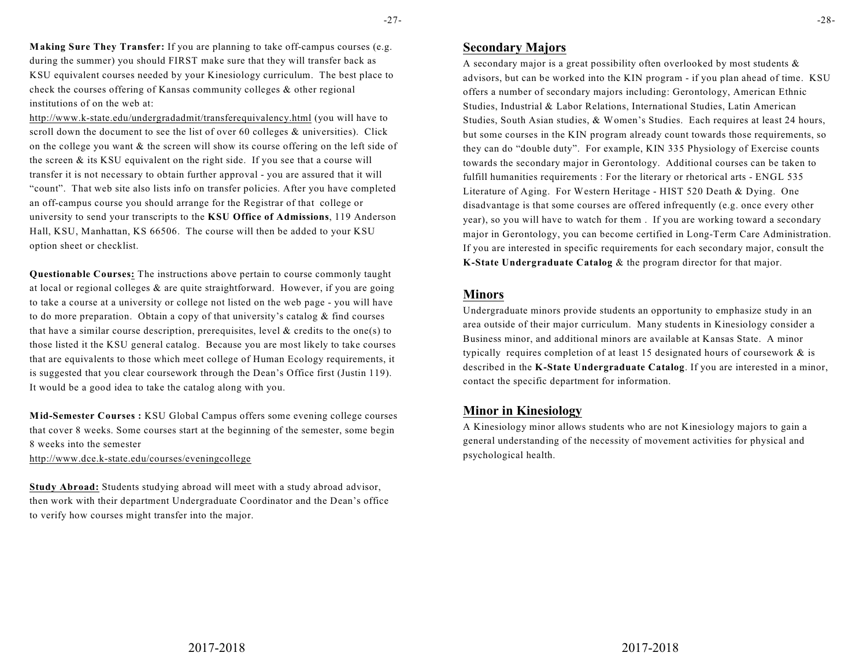-27-

**Making Sure They Transfer:** If you are planning to take off-campus courses (e.g. during the summer) you should FIRST make sure that they will transfer back as KSU equivalent courses needed by your Kinesiology curriculum. The best place to check the courses offering of Kansas community colleges & other regional institutions of on the web at:

http://www.k-state.edu/undergradadmit/transferequivalency.html (you will have to scroll down the document to see the list of over 60 colleges & universities). Click on the college you want  $\&$  the screen will show its course offering on the left side of the screen & its KSU equivalent on the right side. If you see that a course will transfer it is not necessary to obtain further approval - you are assured that it will "count". That web site also lists info on transfer policies. After you have completed an off-campus course you should arrange for the Registrar of that college or university to send your transcripts to the **KSU Office of Admissions**, 119 Anderson Hall, KSU, Manhattan, KS 66506. The course will then be added to your KSU option sheet or checklist.

**Questionable Courses:** The instructions above pertain to course commonly taught at local or regional colleges & are quite straightforward. However, if you are going to take a course at a university or college not listed on the web page - you will have to do more preparation. Obtain a copy of that university's catalog & find courses that have a similar course description, prerequisites, level  $\&$  credits to the one(s) to those listed it the KSU general catalog. Because you are most likely to take courses that are equivalents to those which meet college of Human Ecology requirements, it is suggested that you clear coursework through the Dean's Office first (Justin 119). It would be a good idea to take the catalog along with you.

**Mid-Semester Courses :** KSU Global Campus offers some evening college courses that cover 8 weeks. Some courses start at the beginning of the semester, some begin 8 weeks into the semester

http://www.dce.k-state.edu/courses/eveningcollege

**Study Abroad:** Students studying abroad will meet with a study abroad advisor, then work with their department Undergraduate Coordinator and the Dean's office to verify how courses might transfer into the major.

## **Secondary Majors**

A secondary major is a great possibility often overlooked by most students  $\&$ advisors, but can be worked into the KIN program - if you plan ahead of time. KSU offers a number of secondary majors including: Gerontology, American Ethnic Studies, Industrial & Labor Relations, International Studies, Latin American Studies, South Asian studies, & Women's Studies. Each requires at least 24 hours, but some courses in the KIN program already count towards those requirements, so they can do "double duty". For example, KIN 335 Physiology of Exercise counts towards the secondary major in Gerontology. Additional courses can be taken to fulfill humanities requirements : For the literary or rhetorical arts - ENGL 535 Literature of Aging. For Western Heritage - HIST 520 Death & Dying. One disadvantage is that some courses are offered infrequently (e.g. once every other year), so you will have to watch for them . If you are working toward a secondary major in Gerontology, you can become certified in Long-Term Care Administration. If you are interested in specific requirements for each secondary major, consult the **K-State Undergraduate Catalog** & the program director for that major.

### **Minors**

Undergraduate minors provide students an opportunity to emphasize study in an area outside of their major curriculum. Many students in Kinesiology consider a Business minor, and additional minors are available at Kansas State. A minor typically requires completion of at least 15 designated hours of coursework & is described in the **K-State Undergraduate Catalog**. If you are interested in a minor, contact the specific department for information.

## **Minor in Kinesiology**

A Kinesiology minor allows students who are not Kinesiology majors to gain a general understanding of the necessity of movement activities for physical and psychological health.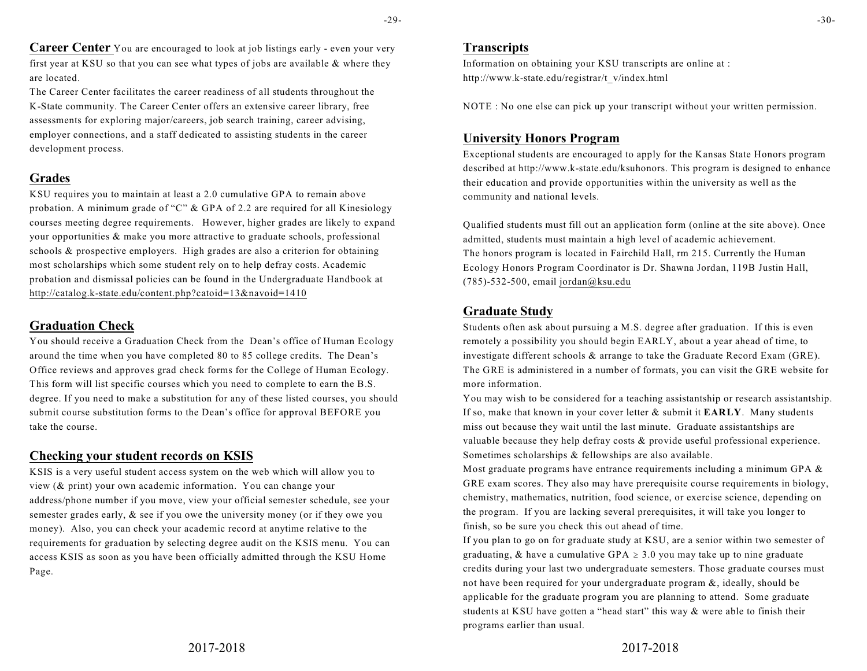**Career Center** You are encouraged to look at job listings early - even your very first year at KSU so that you can see what types of jobs are available & where they are located.

The Career Center facilitates the career readiness of all students throughout the K-State community. The Career Center offers an extensive career library, free assessments for exploring major/careers, job search training, career advising, employer connections, and a staff dedicated to assisting students in the career development process.

# **Grades**

KSU requires you to maintain at least a 2.0 cumulative GPA to remain above probation. A minimum grade of "C"  $\&$  GPA of 2.2 are required for all Kinesiology courses meeting degree requirements. However, higher grades are likely to expand your opportunities & make you more attractive to graduate schools, professional schools & prospective employers. High grades are also a criterion for obtaining most scholarships which some student rely on to help defray costs. Academic probation and dismissal policies can be found in the Undergraduate Handbook at http://catalog.k-state.edu/content.php?catoid=13&navoid=1410

# **Graduation Check**

You should receive a Graduation Check from the Dean's office of Human Ecology around the time when you have completed 80 to 85 college credits. The Dean's Office reviews and approves grad check forms for the College of Human Ecology. This form will list specific courses which you need to complete to earn the B.S. degree. If you need to make a substitution for any of these listed courses, you should submit course substitution forms to the Dean's office for approval BEFORE you take the course.

# **Checking your student records on KSIS**

KSIS is a very useful student access system on the web which will allow you to view (& print) your own academic information. You can change your address/phone number if you move, view your official semester schedule, see your semester grades early, & see if you owe the university money (or if they owe you money). Also, you can check your academic record at anytime relative to the requirements for graduation by selecting degree audit on the KSIS menu. You can access KSIS as soon as you have been officially admitted through the KSU Home Page.

# **Transcripts**

Information on obtaining your KSU transcripts are online at : http://www.k-state.edu/registrar/t\_v/index.html

NOTE : No one else can pick up your transcript without your written permission.

# **University Honors Program**

Exceptional students are encouraged to apply for the Kansas State Honors program described at http://www.k-state.edu/ksuhonors. This program is designed to enhance their education and provide opportunities within the university as well as the community and national levels.

Qualified students must fill out an application form (online at the site above). Once admitted, students must maintain a high level of academic achievement. The honors program is located in Fairchild Hall, rm 215. Currently the Human Ecology Honors Program Coordinator is Dr. Shawna Jordan, 119B Justin Hall, (785)-532-500, email jordan@ksu.edu

# **Graduate Study**

Students often ask about pursuing a M.S. degree after graduation. If this is even remotely a possibility you should begin EARLY, about a year ahead of time, to investigate different schools & arrange to take the Graduate Record Exam (GRE). The GRE is administered in a number of formats, you can visit the GRE website for more information.

You may wish to be considered for a teaching assistantship or research assistantship. If so, make that known in your cover letter & submit it **EARLY**. Many students miss out because they wait until the last minute. Graduate assistantships are valuable because they help defray costs & provide useful professional experience. Sometimes scholarships & fellowships are also available.

Most graduate programs have entrance requirements including a minimum GPA  $\&$ GRE exam scores. They also may have prerequisite course requirements in biology, chemistry, mathematics, nutrition, food science, or exercise science, depending on the program. If you are lacking several prerequisites, it will take you longer to finish, so be sure you check this out ahead of time.

If you plan to go on for graduate study at KSU, are a senior within two semester of graduating, & have a cumulative GPA  $\geq$  3.0 you may take up to nine graduate credits during your last two undergraduate semesters. Those graduate courses must not have been required for your undergraduate program &, ideally, should be applicable for the graduate program you are planning to attend. Some graduate students at KSU have gotten a "head start" this way & were able to finish their programs earlier than usual.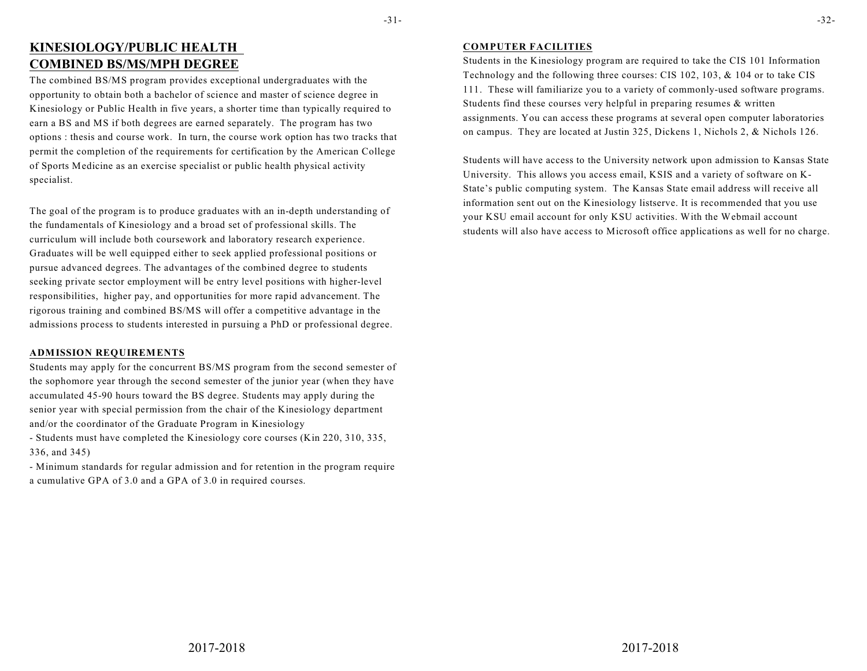# **KINESIOLOGY/PUBLIC HEALTH COMBINED BS/MS/MPH DEGREE**

The combined BS/MS program provides exceptional undergraduates with the opportunity to obtain both a bachelor of science and master of science degree in Kinesiology or Public Health in five years, a shorter time than typically required to earn a BS and MS if both degrees are earned separately. The program has two options : thesis and course work. In turn, the course work option has two tracks that permit the completion of the requirements for certification by the American College of Sports Medicine as an exercise specialist or public health physical activity specialist.

The goal of the program is to produce graduates with an in-depth understanding of the fundamentals of Kinesiology and a broad set of professional skills. The curriculum will include both coursework and laboratory research experience. Graduates will be well equipped either to seek applied professional positions or pursue advanced degrees. The advantages of the combined degree to students seeking private sector employment will be entry level positions with higher-level responsibilities, higher pay, and opportunities for more rapid advancement. The rigorous training and combined BS/MS will offer a competitive advantage in the admissions process to students interested in pursuing a PhD or professional degree.

### **ADMISSION REQUIREMENTS**

Students may apply for the concurrent BS/MS program from the second semester of the sophomore year through the second semester of the junior year (when they have accumulated 45-90 hours toward the BS degree. Students may apply during the senior year with special permission from the chair of the Kinesiology department and/or the coordinator of the Graduate Program in Kinesiology

- Students must have completed the Kinesiology core courses (Kin 220, 310, 335, 336, and 345)

- Minimum standards for regular admission and for retention in the program require a cumulative GPA of 3.0 and a GPA of 3.0 in required courses.

### **COMPUTER FACILITIES**

Students in the Kinesiology program are required to take the CIS 101 Information Technology and the following three courses: CIS 102, 103, & 104 or to take CIS 111. These will familiarize you to a variety of commonly-used software programs. Students find these courses very helpful in preparing resumes & written assignments. You can access these programs at several open computer laboratories on campus. They are located at Justin 325, Dickens 1, Nichols 2, & Nichols 126.

Students will have access to the University network upon admission to Kansas State University. This allows you access email, KSIS and a variety of software on K-State's public computing system. The Kansas State email address will receive all information sent out on the Kinesiology listserve. It is recommended that you use your KSU email account for only KSU activities. With the Webmail account students will also have access to Microsoft office applications as well for no charge.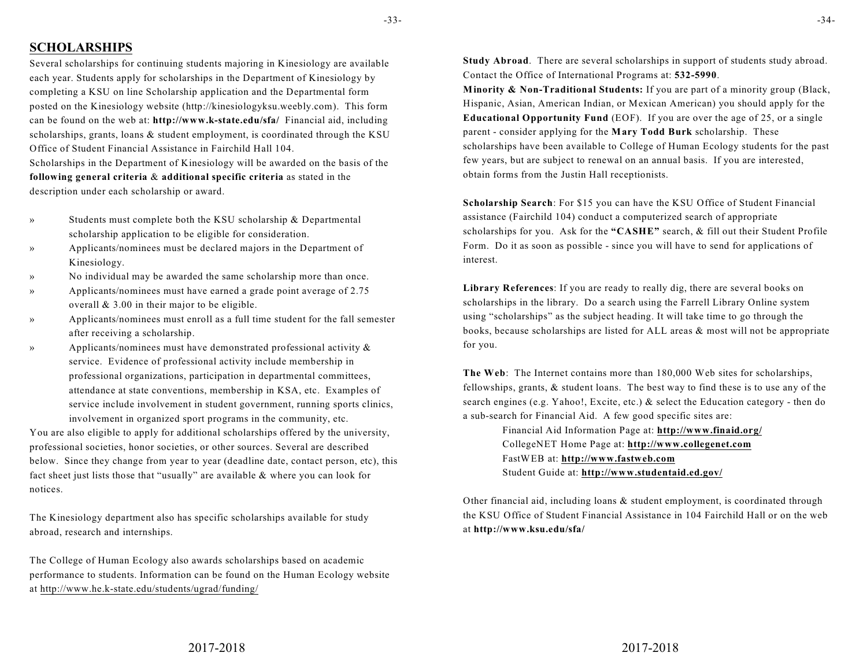-33-

# **SCHOLARSHIPS**

Several scholarships for continuing students majoring in Kinesiology are available each year. Students apply for scholarships in the Department of Kinesiology by completing a KSU on line Scholarship application and the Departmental form posted on the Kinesiology website (http://kinesiologyksu.weebly.com). This form can be found on the web at: **http://www.k-state.edu/sfa/** Financial aid, including scholarships, grants, loans & student employment, is coordinated through the KSU Office of Student Financial Assistance in Fairchild Hall 104.

Scholarships in the Department of Kinesiology will be awarded on the basis of the **following general criteria** & **additional specific criteria** as stated in the description under each scholarship or award.

- » Students must complete both the KSU scholarship & Departmental scholarship application to be eligible for consideration.
- » Applicants/nominees must be declared majors in the Department of Kinesiology.
- » No individual may be awarded the same scholarship more than once.
- Applicants/nominees must have earned a grade point average of 2.75 overall & 3.00 in their major to be eligible.
- » Applicants/nominees must enroll as a full time student for the fall semester after receiving a scholarship.
- » Applicants/nominees must have demonstrated professional activity & service. Evidence of professional activity include membership in professional organizations, participation in departmental committees, attendance at state conventions, membership in KSA, etc. Examples of service include involvement in student government, running sports clinics, involvement in organized sport programs in the community, etc.

You are also eligible to apply for additional scholarships offered by the university, professional societies, honor societies, or other sources. Several are described below. Since they change from year to year (deadline date, contact person, etc), this fact sheet just lists those that "usually" are available & where you can look for notices.

The Kinesiology department also has specific scholarships available for study abroad, research and internships.

The College of Human Ecology also awards scholarships based on academic performance to students. Information can be found on the Human Ecology website at http://www.he.k-state.edu/students/ugrad/funding/

**Study Abroad**. There are several scholarships in support of students study abroad. Contact the Office of International Programs at: **532-5990**.

**Minority & Non-Traditional Students:** If you are part of a minority group (Black, Hispanic, Asian, American Indian, or Mexican American) you should apply for the **Educational Opportunity Fund** (EOF). If you are over the age of 25, or a single parent - consider applying for the **Mary Todd Burk** scholarship. These scholarships have been available to College of Human Ecology students for the past few years, but are subject to renewal on an annual basis. If you are interested, obtain forms from the Justin Hall receptionists.

**Scholarship Search**: For \$15 you can have the KSU Office of Student Financial assistance (Fairchild 104) conduct a computerized search of appropriate scholarships for you. Ask for the **"CASHE"** search, & fill out their Student Profile Form. Do it as soon as possible - since you will have to send for applications of interest.

**Library References**: If you are ready to really dig, there are several books on scholarships in the library. Do a search using the Farrell Library Online system using "scholarships" as the subject heading. It will take time to go through the books, because scholarships are listed for ALL areas & most will not be appropriate for you.

**The Web**: The Internet contains more than 180,000 Web sites for scholarships, fellowships, grants, & student loans. The best way to find these is to use any of the search engines (e.g. Yahoo!, Excite, etc.) & select the Education category - then do a sub-search for Financial Aid. A few good specific sites are:

> Financial Aid Information Page at: **http://www.finaid.org/** CollegeNET Home Page at: **http://www.collegenet.com** FastWEB at: **http://www.fastweb.com** Student Guide at: **http://www.studentaid.ed.gov/**

Other financial aid, including loans & student employment, is coordinated through the KSU Office of Student Financial Assistance in 104 Fairchild Hall or on the web at **http://www.ksu.edu/sfa/**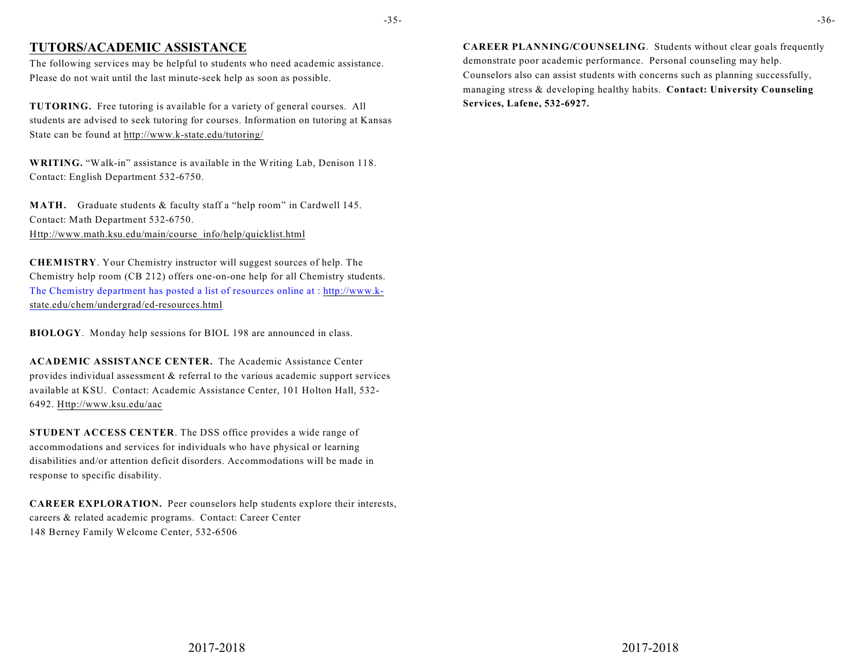# **TUTORS/ACADEMIC ASSISTANCE**

The following services may be helpful to students who need academic assistance. Please do not wait until the last minute-seek help as soon as possible.

**TUTORING.** Free tutoring is available for a variety of general courses. All students are advised to seek tutoring for courses. Information on tutoring at Kansas State can be found at http://www.k-state.edu/tutoring/

**WRITING.** "Walk-in" assistance is available in the Writing Lab, Denison 118. Contact: English Department 532-6750.

**MATH.** Graduate students & faculty staff a "help room" in Cardwell 145. Contact: Math Department 532-6750. Http://www.math.ksu.edu/main/course\_info/help/quicklist.html

**CHEMISTRY**. Your Chemistry instructor will suggest sources of help. The Chemistry help room (CB 212) offers one-on-one help for all Chemistry students. The Chemistry department has posted a list of resources online at : http://www.kstate.edu/chem/undergrad/ed-resources.html

**BIOLOGY**. Monday help sessions for BIOL 198 are announced in class.

**ACADEMIC ASSISTANCE CENTER.** The Academic Assistance Center provides individual assessment & referral to the various academic support services available at KSU. Contact: Academic Assistance Center, 101 Holton Hall, 532- 6492. Http://www.ksu.edu/aac

**STUDENT ACCESS CENTER**. The DSS office provides a wide range of accommodations and services for individuals who have physical or learning disabilities and/or attention deficit disorders. Accommodations will be made in response to specific disability.

**CAREER EXPLORATION.** Peer counselors help students explore their interests, careers & related academic programs. Contact: Career Center 148 Berney Family Welcome Center, 532-6506

**CAREER PLANNING/COUNSELING**. Students without clear goals frequently demonstrate poor academic performance. Personal counseling may help. Counselors also can assist students with concerns such as planning successfully, managing stress & developing healthy habits. **Contact: University Counseling Services, Lafene, 532-6927.**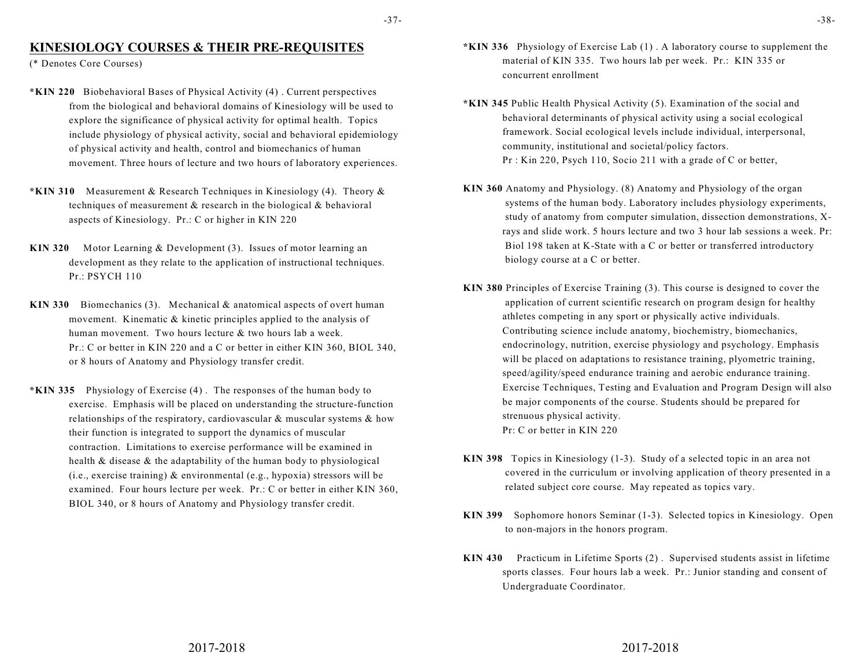-37-

# **KINESIOLOGY COURSES & THEIR PRE-REQUISITES**

(\* Denotes Core Courses)

- **\*KIN 220** Biobehavioral Bases of Physical Activity (4) . Current perspectives from the biological and behavioral domains of Kinesiology will be used to explore the significance of physical activity for optimal health. Topics include physiology of physical activity, social and behavioral epidemiology of physical activity and health, control and biomechanics of human movement. Three hours of lecture and two hours of laboratory experiences.
- **\*KIN 310** Measurement & Research Techniques in Kinesiology (4). Theory & techniques of measurement & research in the biological & behavioral aspects of Kinesiology. Pr.: C or higher in KIN 220
- **KIN 320** Motor Learning & Development (3). Issues of motor learning an development as they relate to the application of instructional techniques. Pr.: PSYCH 110
- **KIN 330** Biomechanics (3). Mechanical & anatomical aspects of overt human movement. Kinematic & kinetic principles applied to the analysis of human movement. Two hours lecture & two hours lab a week. Pr.: C or better in KIN 220 and a C or better in either KIN 360, BIOL 340, or 8 hours of Anatomy and Physiology transfer credit.
- **\*KIN 335** Physiology of Exercise (4) . The responses of the human body to exercise. Emphasis will be placed on understanding the structure-function relationships of the respiratory, cardiovascular & muscular systems & how their function is integrated to support the dynamics of muscular contraction. Limitations to exercise performance will be examined in health & disease & the adaptability of the human body to physiological (i.e., exercise training) & environmental (e.g., hypoxia) stressors will be examined. Four hours lecture per week. Pr.: C or better in either KIN 360, BIOL 340, or 8 hours of Anatomy and Physiology transfer credit.
- **\*KIN 336** Physiology of Exercise Lab (1) . A laboratory course to supplement the material of KIN 335. Two hours lab per week. Pr.: KIN 335 or concurrent enrollment
- **\*KIN 345** Public Health Physical Activity (5). Examination of the social and behavioral determinants of physical activity using a social ecological framework. Social ecological levels include individual, interpersonal, community, institutional and societal/policy factors. Pr : Kin 220, Psych 110, Socio 211 with a grade of C or better,
- **KIN 360** Anatomy and Physiology. (8) Anatomy and Physiology of the organ systems of the human body. Laboratory includes physiology experiments, study of anatomy from computer simulation, dissection demonstrations, Xrays and slide work. 5 hours lecture and two 3 hour lab sessions a week. Pr: Biol 198 taken at K-State with a C or better or transferred introductory biology course at a C or better.
- **KIN 380** Principles of Exercise Training (3). This course is designed to cover the application of current scientific research on program design for healthy athletes competing in any sport or physically active individuals. Contributing science include anatomy, biochemistry, biomechanics, endocrinology, nutrition, exercise physiology and psychology. Emphasis will be placed on adaptations to resistance training, plyometric training, speed/agility/speed endurance training and aerobic endurance training. Exercise Techniques, Testing and Evaluation and Program Design will also be major components of the course. Students should be prepared for strenuous physical activity. Pr: C or better in KIN 220
- **KIN 398** Topics in Kinesiology (1-3). Study of a selected topic in an area not covered in the curriculum or involving application of theory presented in a related subject core course. May repeated as topics vary.
- **KIN 399** Sophomore honors Seminar (1-3). Selected topics in Kinesiology. Open to non-majors in the honors program.
- **KIN 430** Practicum in Lifetime Sports (2) . Supervised students assist in lifetime sports classes. Four hours lab a week. Pr.: Junior standing and consent of Undergraduate Coordinator.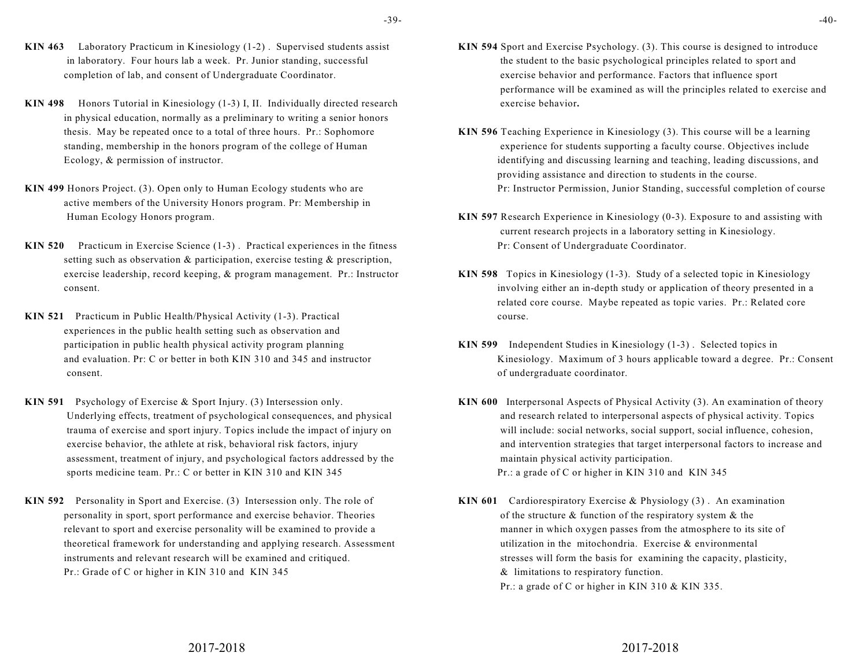- -39-
- **KIN 463** Laboratory Practicum in Kinesiology (1-2) . Supervised students assist in laboratory. Four hours lab a week. Pr. Junior standing, successful completion of lab, and consent of Undergraduate Coordinator.
- **KIN 498** Honors Tutorial in Kinesiology (1-3) I, II. Individually directed research in physical education, normally as a preliminary to writing a senior honors thesis. May be repeated once to a total of three hours. Pr.: Sophomore standing, membership in the honors program of the college of Human Ecology, & permission of instructor.
- **KIN 499** Honors Project. (3). Open only to Human Ecology students who are active members of the University Honors program. Pr: Membership in Human Ecology Honors program.
- **KIN 520** Practicum in Exercise Science (1-3) . Practical experiences in the fitness setting such as observation & participation, exercise testing & prescription, exercise leadership, record keeping, & program management. Pr.: Instructor consent.
- **KIN 521** Practicum in Public Health/Physical Activity (1-3). Practical experiences in the public health setting such as observation and participation in public health physical activity program planning and evaluation. Pr: C or better in both KIN 310 and 345 and instructor consent.
- **KIN 591** Psychology of Exercise & Sport Injury. (3) Intersession only. Underlying effects, treatment of psychological consequences, and physical trauma of exercise and sport injury. Topics include the impact of injury on exercise behavior, the athlete at risk, behavioral risk factors, injury assessment, treatment of injury, and psychological factors addressed by the sports medicine team. Pr.: C or better in KIN 310 and KIN 345
- **KIN 592** Personality in Sport and Exercise. (3) Intersession only. The role of personality in sport, sport performance and exercise behavior. Theories relevant to sport and exercise personality will be examined to provide a theoretical framework for understanding and applying research. Assessment instruments and relevant research will be examined and critiqued. Pr.: Grade of C or higher in KIN 310 and KIN 345
- **KIN 594** Sport and Exercise Psychology. (3). This course is designed to introduce the student to the basic psychological principles related to sport and exercise behavior and performance. Factors that influence sport performance will be examined as will the principles related to exercise and exercise behavior**.**
- **KIN 596** Teaching Experience in Kinesiology (3). This course will be a learning experience for students supporting a faculty course. Objectives include identifying and discussing learning and teaching, leading discussions, and providing assistance and direction to students in the course. Pr: Instructor Permission, Junior Standing, successful completion of course
- **KIN 597** Research Experience in Kinesiology (0-3). Exposure to and assisting with current research projects in a laboratory setting in Kinesiology. Pr: Consent of Undergraduate Coordinator.
- **KIN 598** Topics in Kinesiology (1-3). Study of a selected topic in Kinesiology involving either an in-depth study or application of theory presented in a related core course. Maybe repeated as topic varies. Pr.: Related core course.
- **KIN 599** Independent Studies in Kinesiology (1-3) . Selected topics in Kinesiology. Maximum of 3 hours applicable toward a degree. Pr.: Consent of undergraduate coordinator.
- **KIN 600** Interpersonal Aspects of Physical Activity (3). An examination of theory and research related to interpersonal aspects of physical activity. Topics will include: social networks, social support, social influence, cohesion, and intervention strategies that target interpersonal factors to increase and maintain physical activity participation. Pr.: a grade of C or higher in KIN 310 and KIN 345
- **KIN 601** Cardiorespiratory Exercise & Physiology (3) . An examination of the structure & function of the respiratory system & the manner in which oxygen passes from the atmosphere to its site of utilization in the mitochondria. Exercise & environmental stresses will form the basis for examining the capacity, plasticity, & limitations to respiratory function. Pr.: a grade of C or higher in KIN 310 & KIN 335.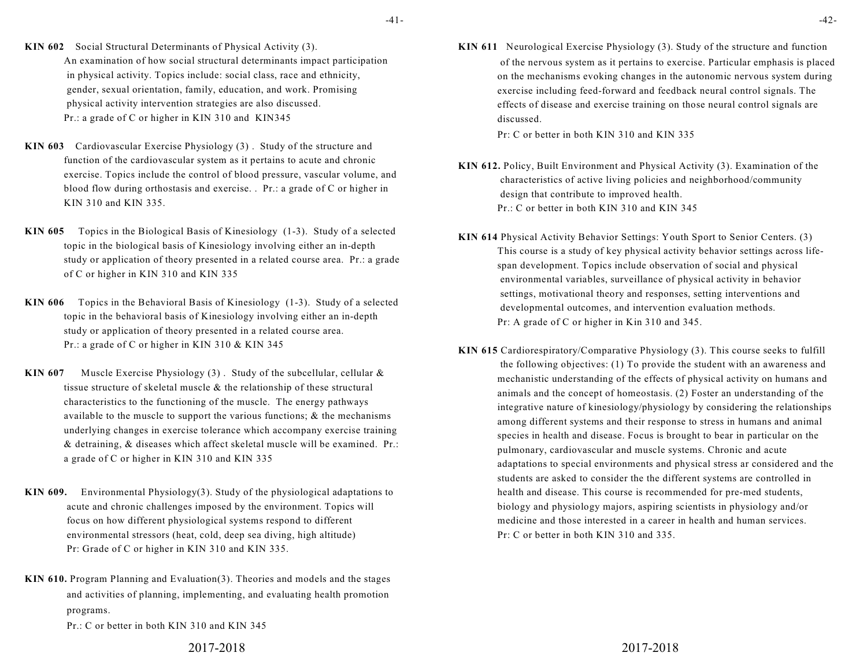-41-

- **KIN 602** Social Structural Determinants of Physical Activity (3). An examination of how social structural determinants impact participation in physical activity. Topics include: social class, race and ethnicity, gender, sexual orientation, family, education, and work. Promising physical activity intervention strategies are also discussed. Pr.: a grade of C or higher in KIN 310 and KIN345
- **KIN 603** Cardiovascular Exercise Physiology (3) . Study of the structure and function of the cardiovascular system as it pertains to acute and chronic exercise. Topics include the control of blood pressure, vascular volume, and blood flow during orthostasis and exercise. . Pr.: a grade of C or higher in KIN 310 and KIN 335.
- **KIN 605** Topics in the Biological Basis of Kinesiology (1-3). Study of a selected topic in the biological basis of Kinesiology involving either an in-depth study or application of theory presented in a related course area. Pr.: a grade of C or higher in KIN 310 and KIN 335
- **KIN 606** Topics in the Behavioral Basis of Kinesiology (1-3). Study of a selected topic in the behavioral basis of Kinesiology involving either an in-depth study or application of theory presented in a related course area. Pr.: a grade of C or higher in KIN 310 & KIN 345
- **KIN 607** Muscle Exercise Physiology (3) . Study of the subcellular, cellular & tissue structure of skeletal muscle & the relationship of these structural characteristics to the functioning of the muscle. The energy pathways available to the muscle to support the various functions; & the mechanisms underlying changes in exercise tolerance which accompany exercise training & detraining, & diseases which affect skeletal muscle will be examined. Pr.: a grade of C or higher in KIN 310 and KIN 335
- **KIN 609.** Environmental Physiology(3). Study of the physiological adaptations to acute and chronic challenges imposed by the environment. Topics will focus on how different physiological systems respond to different environmental stressors (heat, cold, deep sea diving, high altitude) Pr: Grade of C or higher in KIN 310 and KIN 335.
- **KIN 610.** Program Planning and Evaluation(3). Theories and models and the stages and activities of planning, implementing, and evaluating health promotion programs.

Pr.: C or better in both KIN 310 and KIN 345

### -42-

**KIN 611** Neurological Exercise Physiology (3). Study of the structure and function of the nervous system as it pertains to exercise. Particular emphasis is placed on the mechanisms evoking changes in the autonomic nervous system during exercise including feed-forward and feedback neural control signals. The effects of disease and exercise training on those neural control signals are discussed.

Pr: C or better in both KIN 310 and KIN 335

- **KIN 612.** Policy, Built Environment and Physical Activity (3). Examination of the characteristics of active living policies and neighborhood/community design that contribute to improved health. Pr.: C or better in both KIN 310 and KIN 345
- **KIN 614** Physical Activity Behavior Settings: Youth Sport to Senior Centers. (3) This course is a study of key physical activity behavior settings across lifespan development. Topics include observation of social and physical environmental variables, surveillance of physical activity in behavior settings, motivational theory and responses, setting interventions and developmental outcomes, and intervention evaluation methods. Pr: A grade of C or higher in Kin 310 and 345.
- **KIN 615** Cardiorespiratory/Comparative Physiology (3). This course seeks to fulfill the following objectives: (1) To provide the student with an awareness and mechanistic understanding of the effects of physical activity on humans and animals and the concept of homeostasis. (2) Foster an understanding of the integrative nature of kinesiology/physiology by considering the relationships among different systems and their response to stress in humans and animal species in health and disease. Focus is brought to bear in particular on the pulmonary, cardiovascular and muscle systems. Chronic and acute adaptations to special environments and physical stress ar considered and the students are asked to consider the the different systems are controlled in health and disease. This course is recommended for pre-med students, biology and physiology majors, aspiring scientists in physiology and/or medicine and those interested in a career in health and human services. Pr: C or better in both KIN 310 and 335.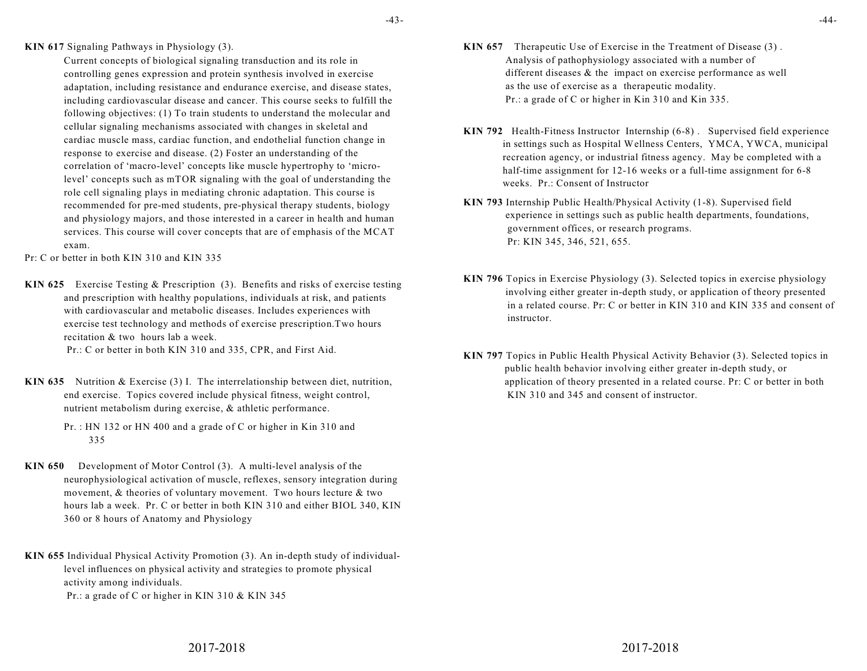-43-

**KIN 617** Signaling Pathways in Physiology (3).

Current concepts of biological signaling transduction and its role in controlling genes expression and protein synthesis involved in exercise adaptation, including resistance and endurance exercise, and disease states, including cardiovascular disease and cancer. This course seeks to fulfill the following objectives: (1) To train students to understand the molecular and cellular signaling mechanisms associated with changes in skeletal and cardiac muscle mass, cardiac function, and endothelial function change in response to exercise and disease. (2) Foster an understanding of the correlation of 'macro-level' concepts like muscle hypertrophy to 'microlevel' concepts such as mTOR signaling with the goal of understanding the role cell signaling plays in mediating chronic adaptation. This course is recommended for pre-med students, pre-physical therapy students, biology and physiology majors, and those interested in a career in health and human services. This course will cover concepts that are of emphasis of the MCAT exam.

Pr: C or better in both KIN 310 and KIN 335

- **KIN 625** Exercise Testing & Prescription (3). Benefits and risks of exercise testing and prescription with healthy populations, individuals at risk, and patients with cardiovascular and metabolic diseases. Includes experiences with exercise test technology and methods of exercise prescription.Two hours recitation & two hours lab a week. Pr.: C or better in both KIN 310 and 335, CPR, and First Aid.
- **KIN 635** Nutrition & Exercise (3) I. The interrelationship between diet, nutrition, end exercise. Topics covered include physical fitness, weight control, nutrient metabolism during exercise, & athletic performance.
	- Pr. : HN 132 or HN 400 and a grade of C or higher in Kin 310 and 335
- **KIN 650** Development of Motor Control (3). A multi-level analysis of the neurophysiological activation of muscle, reflexes, sensory integration during movement, & theories of voluntary movement. Two hours lecture & two hours lab a week. Pr. C or better in both KIN 310 and either BIOL 340, KIN 360 or 8 hours of Anatomy and Physiology

**KIN 655** Individual Physical Activity Promotion (3). An in-depth study of individuallevel influences on physical activity and strategies to promote physical activity among individuals. Pr.: a grade of C or higher in KIN 310 & KIN 345

- **KIN 657** Therapeutic Use of Exercise in the Treatment of Disease (3) . Analysis of pathophysiology associated with a number of different diseases & the impact on exercise performance as well as the use of exercise as a therapeutic modality. Pr.: a grade of C or higher in Kin 310 and Kin 335.
- **KIN 792** Health-Fitness Instructor Internship (6-8) . Supervised field experience in settings such as Hospital Wellness Centers, YMCA, YWCA, municipal recreation agency, or industrial fitness agency. May be completed with a half-time assignment for 12-16 weeks or a full-time assignment for 6-8 weeks. Pr.: Consent of Instructor
- **KIN 793** Internship Public Health/Physical Activity (1-8). Supervised field experience in settings such as public health departments, foundations, government offices, or research programs. Pr: KIN 345, 346, 521, 655.
- **KIN 796** Topics in Exercise Physiology (3). Selected topics in exercise physiology involving either greater in-depth study, or application of theory presented in a related course. Pr: C or better in KIN 310 and KIN 335 and consent of instructor.
- **KIN 797** Topics in Public Health Physical Activity Behavior (3). Selected topics in public health behavior involving either greater in-depth study, or application of theory presented in a related course. Pr: C or better in both KIN 310 and 345 and consent of instructor.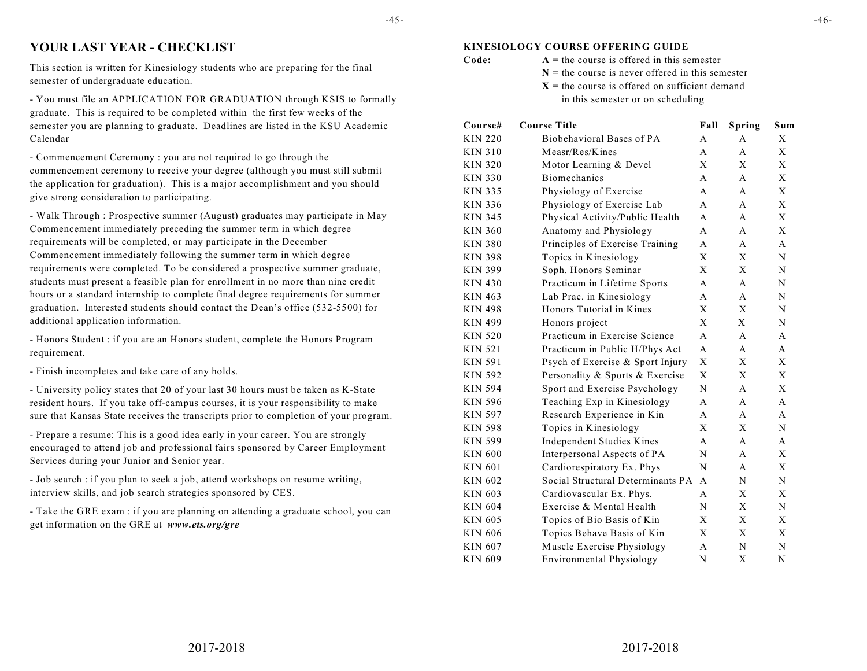# **YOUR LAST YEAR - CHECKLIST**

This section is written for Kinesiology students who are preparing for the final semester of undergraduate education.

- You must file an APPLICATION FOR GRADUATION through KSIS to formally graduate. This is required to be completed within the first few weeks of the semester you are planning to graduate. Deadlines are listed in the KSU Academic Calendar

- Commencement Ceremony : you are not required to go through the commencement ceremony to receive your degree (although you must still submit the application for graduation). This is a major accomplishment and you should give strong consideration to participating.

- Walk Through : Prospective summer (August) graduates may participate in May Commencement immediately preceding the summer term in which degree requirements will be completed, or may participate in the December Commencement immediately following the summer term in which degree requirements were completed. To be considered a prospective summer graduate, students must present a feasible plan for enrollment in no more than nine credit hours or a standard internship to complete final degree requirements for summer graduation. Interested students should contact the Dean's office (532-5500) for additional application information.

- Honors Student : if you are an Honors student, complete the Honors Program requirement.

- Finish incompletes and take care of any holds.

- University policy states that 20 of your last 30 hours must be taken as K-State resident hours. If you take off-campus courses, it is your responsibility to make sure that Kansas State receives the transcripts prior to completion of your program.

- Prepare a resume: This is a good idea early in your career. You are strongly encouraged to attend job and professional fairs sponsored by Career Employment Services during your Junior and Senior year.

- Job search : if you plan to seek a job, attend workshops on resume writing, interview skills, and job search strategies sponsored by CES.

- Take the GRE exam : if you are planning on attending a graduate school, you can get information on the GRE at *www.ets.org/gre*

### **KINESIOLOGY COURSE OFFERING GUIDE**

- **Code:**  $A =$  the course is offered in this semester
	- **N =** the course is never offered in this semester
	- $X =$  the course is offered on sufficient demand in this semester or on scheduling

| Course#        | <b>Course Title</b>               | Fall         | <b>Spring</b> | Sum |
|----------------|-----------------------------------|--------------|---------------|-----|
| <b>KIN 220</b> | Biobehavioral Bases of PA         | А            | А             | Χ   |
| KIN 310        | Measr/Res/Kines                   | A            | A             | X   |
| <b>KIN 320</b> | Motor Learning & Devel            | X            | X             | X   |
| KIN 330        | <b>Biomechanics</b>               | A            | $\mathsf{A}$  | X   |
| KIN 335        | Physiology of Exercise            | А            | A             | X   |
| <b>KIN 336</b> | Physiology of Exercise Lab        | A            | A             | X   |
| KIN 345        | Physical Activity/Public Health   | A            | A             | X   |
| <b>KIN 360</b> | Anatomy and Physiology            | A            | A             | X   |
| KIN 380        | Principles of Exercise Training   | A            | A             | A   |
| KIN 398        | Topics in Kinesiology             | X            | X             | N   |
| KIN 399        | Soph. Honors Seminar              | X            | X             | N   |
| <b>KIN 430</b> | Practicum in Lifetime Sports      | А            | A             | N   |
| KIN 463        | Lab Prac. in Kinesiology          | A            | $\mathbf{A}$  | N   |
| KIN 498        | Honors Tutorial in Kines          | X            | X             | N   |
| KIN 499        | Honors project                    | X            | X             | N   |
| KIN 520        | Practicum in Exercise Science     | A            | A             | A   |
| <b>KIN 521</b> | Practicum in Public H/Phys Act    | $\mathsf{A}$ | A             | A   |
| KIN 591        | Psych of Exercise & Sport Injury  | X            | X             | X   |
| <b>KIN 592</b> | Personality & Sports & Exercise   | X            | X             | X   |
| KIN 594        | Sport and Exercise Psychology     | N            | A             | X   |
| <b>KIN 596</b> | Teaching Exp in Kinesiology       | A            | A             | A   |
| KIN 597        | Research Experience in Kin        | A            | A             | A   |
| KIN 598        | Topics in Kinesiology             | X            | X             | N   |
| KIN 599        | Independent Studies Kines         | A            | A             | A   |
| KIN 600        | Interpersonal Aspects of PA       | N            | A             | X   |
| KIN 601        | Cardiorespiratory Ex. Phys        | N            | A             | X   |
| KIN 602        | Social Structural Determinants PA | A            | N             | N   |
| KIN 603        | Cardiovascular Ex. Phys.          | A            | X             | X   |
| KIN 604        | Exercise & Mental Health          | N            | X             | N   |
| KIN 605        | Topics of Bio Basis of Kin        | X            | X             | X   |
| KIN 606        | Topics Behave Basis of Kin        | X            | X             | X   |
| KIN 607        | Muscle Exercise Physiology        | $\mathsf{A}$ | N             | N   |
| KIN 609        | <b>Environmental Physiology</b>   | N            | X             | N   |